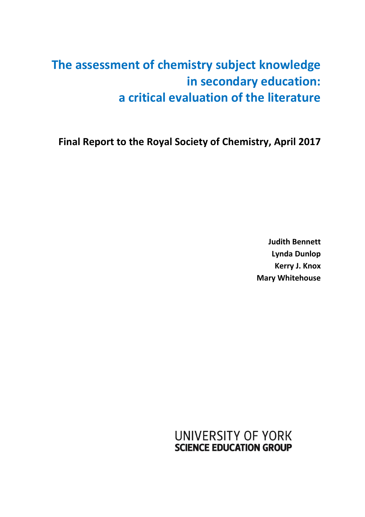# **The assessment of chemistry subject knowledge in secondary education: a critical evaluation of the literature**

**Final Report to the Royal Society of Chemistry, April 2017**

**Judith Bennett Lynda Dunlop Kerry J. Knox Mary Whitehouse** 

**UNIVERSITY OF YORK SCIENCE EDUCATION GROUP**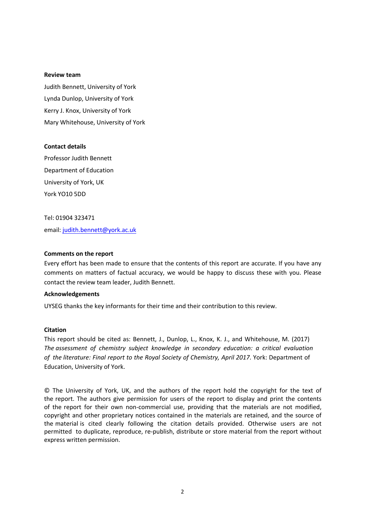#### **Review team**

Judith Bennett, University of York Lynda Dunlop, University of York Kerry J. Knox, University of York Mary Whitehouse, University of York

#### **Contact details**

Professor Judith Bennett Department of Education University of York, UK York YO10 5DD

Tel: 01904 323471 email: [judith.bennett@york.ac.uk](mailto:judith.bennett@york.ac.uk)

#### **Comments on the report**

Every effort has been made to ensure that the contents of this report are accurate. If you have any comments on matters of factual accuracy, we would be happy to discuss these with you. Please contact the review team leader, Judith Bennett.

#### **Acknowledgements**

UYSEG thanks the key informants for their time and their contribution to this review.

#### **Citation**

This report should be cited as: Bennett, J., Dunlop, L., Knox, K. J., and Whitehouse, M. (2017) *The assessment of chemistry subject knowledge in secondary education: a critical evaluation of the literature: Final report to the Royal Society of Chemistry, April 2017*. York: Department of Education, University of York.

© The University of York, UK, and the authors of the report hold the copyright for the text of the report. The authors give permission for users of the report to display and print the contents of the report for their own non-commercial use, providing that the materials are not modified, copyright and other proprietary notices contained in the materials are retained, and the source of the material is cited clearly following the citation details provided. Otherwise users are not permitted to duplicate, reproduce, re-publish, distribute or store material from the report without express written permission.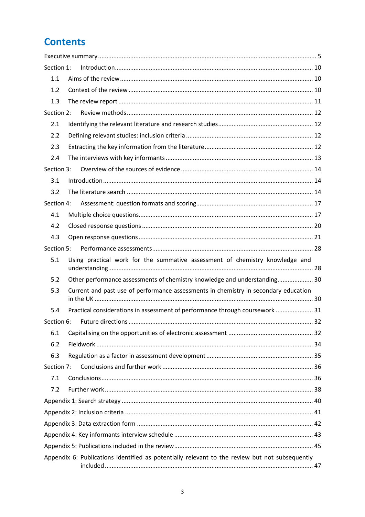# **Contents**

| Section 1: | Introduction 10                                                                                |  |
|------------|------------------------------------------------------------------------------------------------|--|
| 1.1        |                                                                                                |  |
| 1.2        |                                                                                                |  |
| 1.3        |                                                                                                |  |
| Section 2: |                                                                                                |  |
| 2.1        |                                                                                                |  |
| 2.2        |                                                                                                |  |
| 2.3        |                                                                                                |  |
| 2.4        |                                                                                                |  |
| Section 3: |                                                                                                |  |
| 3.1        |                                                                                                |  |
| 3.2        |                                                                                                |  |
| Section 4: |                                                                                                |  |
| 4.1        |                                                                                                |  |
| 4.2        |                                                                                                |  |
| 4.3        |                                                                                                |  |
| Section 5: |                                                                                                |  |
| 5.1        | Using practical work for the summative assessment of chemistry knowledge and                   |  |
| 5.2        | Other performance assessments of chemistry knowledge and understanding 30                      |  |
| 5.3        | Current and past use of performance assessments in chemistry in secondary education            |  |
|            |                                                                                                |  |
| 5.4        | Practical considerations in assessment of performance through coursework  31                   |  |
|            |                                                                                                |  |
| 6.1        |                                                                                                |  |
| 6.2        |                                                                                                |  |
| 6.3        |                                                                                                |  |
| Section 7: |                                                                                                |  |
| 7.1        |                                                                                                |  |
| 7.2        |                                                                                                |  |
|            |                                                                                                |  |
|            |                                                                                                |  |
|            |                                                                                                |  |
|            |                                                                                                |  |
|            |                                                                                                |  |
|            | Appendix 6: Publications identified as potentially relevant to the review but not subsequently |  |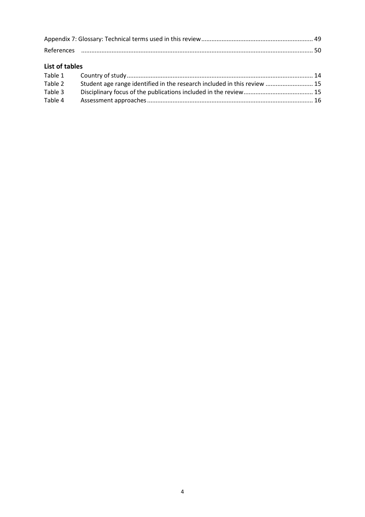| List of tables |                                                                          |  |
|----------------|--------------------------------------------------------------------------|--|
|                |                                                                          |  |
| Table 2        | Student age range identified in the research included in this review  15 |  |
| Table 3        |                                                                          |  |
| Table 4        |                                                                          |  |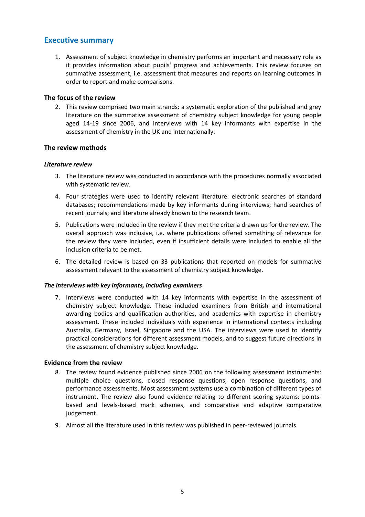# **Executive summary**

1. Assessment of subject knowledge in chemistry performs an important and necessary role as it provides information about pupils' progress and achievements. This review focuses on summative assessment, i.e. assessment that measures and reports on learning outcomes in order to report and make comparisons.

#### **The focus of the review**

2. This review comprised two main strands: a systematic exploration of the published and grey literature on the summative assessment of chemistry subject knowledge for young people aged 14-19 since 2006, and interviews with 14 key informants with expertise in the assessment of chemistry in the UK and internationally.

#### **The review methods**

#### *Literature review*

- 3. The literature review was conducted in accordance with the procedures normally associated with systematic review.
- 4. Four strategies were used to identify relevant literature: electronic searches of standard databases; recommendations made by key informants during interviews; hand searches of recent journals; and literature already known to the research team.
- 5. Publications were included in the review if they met the criteria drawn up for the review. The overall approach was inclusive, i.e. where publications offered something of relevance for the review they were included, even if insufficient details were included to enable all the inclusion criteria to be met.
- 6. The detailed review is based on 33 publications that reported on models for summative assessment relevant to the assessment of chemistry subject knowledge.

#### *The interviews with key informants, including examiners*

7. Interviews were conducted with 14 key informants with expertise in the assessment of chemistry subject knowledge. These included examiners from British and international awarding bodies and qualification authorities, and academics with expertise in chemistry assessment. These included individuals with experience in international contexts including Australia, Germany, Israel, Singapore and the USA. The interviews were used to identify practical considerations for different assessment models, and to suggest future directions in the assessment of chemistry subject knowledge.

#### **Evidence from the review**

- 8. The review found evidence published since 2006 on the following assessment instruments: multiple choice questions, closed response questions, open response questions, and performance assessments. Most assessment systems use a combination of different types of instrument. The review also found evidence relating to different scoring systems: pointsbased and levels-based mark schemes, and comparative and adaptive comparative judgement.
- 9. Almost all the literature used in this review was published in peer-reviewed journals.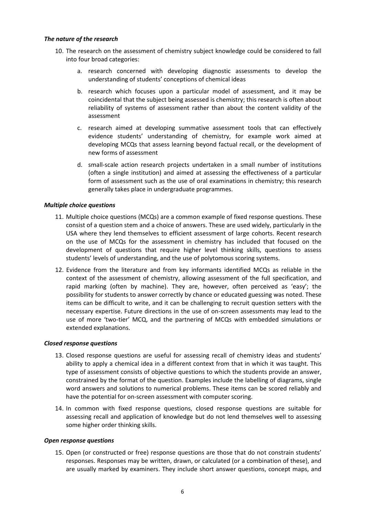#### *The nature of the research*

- 10. The research on the assessment of chemistry subject knowledge could be considered to fall into four broad categories:
	- a. research concerned with developing diagnostic assessments to develop the understanding of students' conceptions of chemical ideas
	- b. research which focuses upon a particular model of assessment, and it may be coincidental that the subject being assessed is chemistry; this research is often about reliability of systems of assessment rather than about the content validity of the assessment
	- c. research aimed at developing summative assessment tools that can effectively evidence students' understanding of chemistry, for example work aimed at developing MCQs that assess learning beyond factual recall, or the development of new forms of assessment
	- d. small-scale action research projects undertaken in a small number of institutions (often a single institution) and aimed at assessing the effectiveness of a particular form of assessment such as the use of oral examinations in chemistry; this research generally takes place in undergraduate programmes.

#### *Multiple choice questions*

- 11. Multiple choice questions (MCQs) are a common example of fixed response questions. These consist of a question stem and a choice of answers. These are used widely, particularly in the USA where they lend themselves to efficient assessment of large cohorts. Recent research on the use of MCQs for the assessment in chemistry has included that focused on the development of questions that require higher level thinking skills, questions to assess students' levels of understanding, and the use of polytomous scoring systems.
- 12. Evidence from the literature and from key informants identified MCQs as reliable in the context of the assessment of chemistry, allowing assessment of the full specification, and rapid marking (often by machine). They are, however, often perceived as 'easy'; the possibility for students to answer correctly by chance or educated guessing was noted. These items can be difficult to write, and it can be challenging to recruit question setters with the necessary expertise. Future directions in the use of on-screen assessments may lead to the use of more 'two-tier' MCQ, and the partnering of MCQs with embedded simulations or extended explanations.

#### *Closed response questions*

- 13. Closed response questions are useful for assessing recall of chemistry ideas and students' ability to apply a chemical idea in a different context from that in which it was taught. This type of assessment consists of objective questions to which the students provide an answer, constrained by the format of the question. Examples include the labelling of diagrams, single word answers and solutions to numerical problems. These items can be scored reliably and have the potential for on-screen assessment with computer scoring.
- 14. In common with fixed response questions, closed response questions are suitable for assessing recall and application of knowledge but do not lend themselves well to assessing some higher order thinking skills.

#### *Open response questions*

15. Open (or constructed or free) response questions are those that do not constrain students' responses. Responses may be written, drawn, or calculated (or a combination of these), and are usually marked by examiners. They include short answer questions, concept maps, and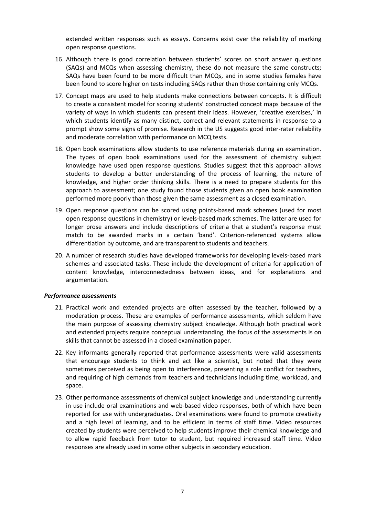extended written responses such as essays. Concerns exist over the reliability of marking open response questions.

- 16. Although there is good correlation between students' scores on short answer questions (SAQs) and MCQs when assessing chemistry, these do not measure the same constructs; SAQs have been found to be more difficult than MCQs, and in some studies females have been found to score higher on tests including SAQs rather than those containing only MCQs.
- 17. Concept maps are used to help students make connections between concepts. It is difficult to create a consistent model for scoring students' constructed concept maps because of the variety of ways in which students can present their ideas. However, 'creative exercises,' in which students identify as many distinct, correct and relevant statements in response to a prompt show some signs of promise. Research in the US suggests good inter-rater reliability and moderate correlation with performance on MCQ tests.
- 18. Open book examinations allow students to use reference materials during an examination. The types of open book examinations used for the assessment of chemistry subject knowledge have used open response questions. Studies suggest that this approach allows students to develop a better understanding of the process of learning, the nature of knowledge, and higher order thinking skills. There is a need to prepare students for this approach to assessment; one study found those students given an open book examination performed more poorly than those given the same assessment as a closed examination.
- 19. Open response questions can be scored using points-based mark schemes (used for most open response questions in chemistry) or levels-based mark schemes. The latter are used for longer prose answers and include descriptions of criteria that a student's response must match to be awarded marks in a certain 'band'. Criterion-referenced systems allow differentiation by outcome, and are transparent to students and teachers.
- 20. A number of research studies have developed frameworks for developing levels-based mark schemes and associated tasks. These include the development of criteria for application of content knowledge, interconnectedness between ideas, and for explanations and argumentation.

#### *Performance assessments*

- 21. Practical work and extended projects are often assessed by the teacher, followed by a moderation process. These are examples of performance assessments, which seldom have the main purpose of assessing chemistry subject knowledge. Although both practical work and extended projects require conceptual understanding, the focus of the assessments is on skills that cannot be assessed in a closed examination paper.
- 22. Key informants generally reported that performance assessments were valid assessments that encourage students to think and act like a scientist, but noted that they were sometimes perceived as being open to interference, presenting a role conflict for teachers, and requiring of high demands from teachers and technicians including time, workload, and space.
- 23. Other performance assessments of chemical subject knowledge and understanding currently in use include oral examinations and web-based video responses, both of which have been reported for use with undergraduates. Oral examinations were found to promote creativity and a high level of learning, and to be efficient in terms of staff time. Video resources created by students were perceived to help students improve their chemical knowledge and to allow rapid feedback from tutor to student, but required increased staff time. Video responses are already used in some other subjects in secondary education.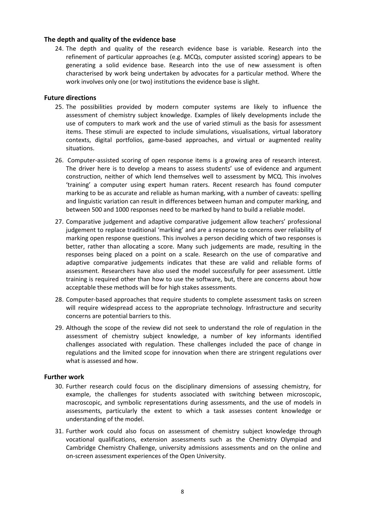#### **The depth and quality of the evidence base**

24. The depth and quality of the research evidence base is variable. Research into the refinement of particular approaches (e.g. MCQs, computer assisted scoring) appears to be generating a solid evidence base. Research into the use of new assessment is often characterised by work being undertaken by advocates for a particular method. Where the work involves only one (or two) institutions the evidence base is slight.

#### **Future directions**

- 25. The possibilities provided by modern computer systems are likely to influence the assessment of chemistry subject knowledge. Examples of likely developments include the use of computers to mark work and the use of varied stimuli as the basis for assessment items. These stimuli are expected to include simulations, visualisations, virtual laboratory contexts, digital portfolios, game-based approaches, and virtual or augmented reality situations.
- 26. Computer-assisted scoring of open response items is a growing area of research interest. The driver here is to develop a means to assess students' use of evidence and argument construction, neither of which lend themselves well to assessment by MCQ. This involves 'training' a computer using expert human raters. Recent research has found computer marking to be as accurate and reliable as human marking, with a number of caveats: spelling and linguistic variation can result in differences between human and computer marking, and between 500 and 1000 responses need to be marked by hand to build a reliable model.
- 27. Comparative judgement and adaptive comparative judgement allow teachers' professional judgement to replace traditional 'marking' and are a response to concerns over reliability of marking open response questions. This involves a person deciding which of two responses is better, rather than allocating a score. Many such judgements are made, resulting in the responses being placed on a point on a scale. Research on the use of comparative and adaptive comparative judgements indicates that these are valid and reliable forms of assessment. Researchers have also used the model successfully for peer assessment. Little training is required other than how to use the software, but, there are concerns about how acceptable these methods will be for high stakes assessments.
- 28. Computer-based approaches that require students to complete assessment tasks on screen will require widespread access to the appropriate technology. Infrastructure and security concerns are potential barriers to this.
- 29. Although the scope of the review did not seek to understand the role of regulation in the assessment of chemistry subject knowledge, a number of key informants identified challenges associated with regulation. These challenges included the pace of change in regulations and the limited scope for innovation when there are stringent regulations over what is assessed and how.

### **Further work**

- 30. Further research could focus on the disciplinary dimensions of assessing chemistry, for example, the challenges for students associated with switching between microscopic, macroscopic, and symbolic representations during assessments, and the use of models in assessments, particularly the extent to which a task assesses content knowledge or understanding of the model.
- 31. Further work could also focus on assessment of chemistry subject knowledge through vocational qualifications, extension assessments such as the Chemistry Olympiad and Cambridge Chemistry Challenge, university admissions assessments and on the online and on-screen assessment experiences of the Open University.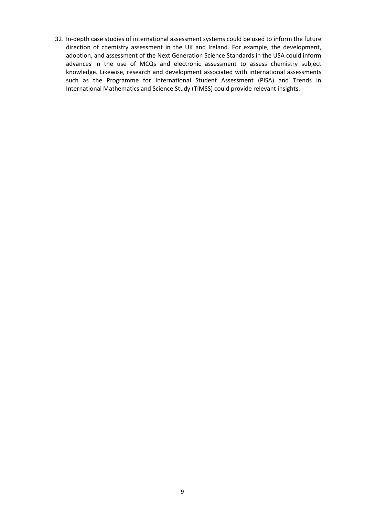32. In-depth case studies of international assessment systems could be used to inform the future direction of chemistry assessment in the UK and Ireland. For example, the development, adoption, and assessment of the Next Generation Science Standards in the USA could inform advances in the use of MCQs and electronic assessment to assess chemistry subject knowledge. Likewise, research and development associated with international assessments such as the Programme for International Student Assessment (PISA) and Trends in International Mathematics and Science Study (TIMSS) could provide relevant insights.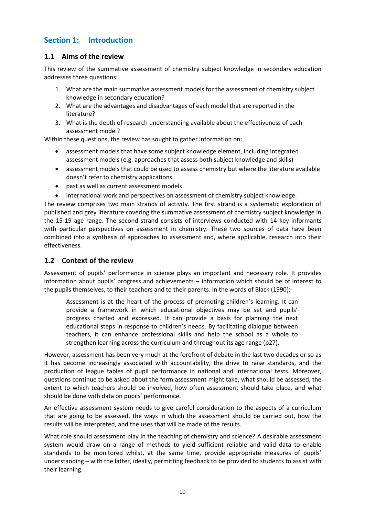# **Section 1: Introduction**

# **1.1 Aims of the review**

This review of the summative assessment of chemistry subject knowledge in secondary education addresses three questions:

- 1. What are the main summative assessment models for the assessment of chemistry subject knowledge in secondary education?
- 2. What are the advantages and disadvantages of each model that are reported in the literature?
- 3. What is the depth of research understanding available about the effectiveness of each assessment model?

Within these questions, the review has sought to gather information on:

- assessment models that have some subject knowledge element, including integrated assessment models (e.g. approaches that assess both subject knowledge and skills)
- assessment models that could be used to assess chemistry but where the literature available doesn't refer to chemistry applications
- past as well as current assessment models
- international work and perspectives on assessment of chemistry subject knowledge.

The review comprises two main strands of activity. The first strand is a systematic exploration of published and grey literature covering the summative assessment of chemistry subject knowledge in the 15-19 age range. The second strand consists of interviews conducted with 14 key informants with particular perspectives on assessment in chemistry. These two sources of data have been combined into a synthesis of approaches to assessment and, where applicable, research into their effectiveness.

## **1.2 Context of the review**

Assessment of pupils' performance in science plays an important and necessary role. It provides information about pupils' progress and achievements – information which should be of interest to the pupils themselves, to their teachers and to their parents. In the words of Black (1990):

Assessment is at the heart of the process of promoting children's learning. It can provide a framework in which educational objectives may be set and pupils' progress charted and expressed. It can provide a basis for planning the next educational steps in response to children's needs. By facilitating dialogue between teachers, it can enhance professional skills and help the school as a whole to strengthen learning across the curriculum and throughout its age range (p27).

However, assessment has been very much at the forefront of debate in the last two decades or so as it has become increasingly associated with accountability, the drive to raise standards, and the production of league tables of pupil performance in national and international tests. Moreover, questions continue to be asked about the form assessment might take, what should be assessed, the extent to which teachers should be involved, how often assessment should take place, and what should be done with data on pupils' performance.

An effective assessment system needs to give careful consideration to the aspects of a curriculum that are going to be assessed, the ways in which the assessment should be carried out, how the results will be interpreted, and the uses that will be made of the results.

What role should assessment play in the teaching of chemistry and science? A desirable assessment system would draw on a range of methods to yield sufficient reliable and valid data to enable standards to be monitored whilst, at the same time, provide appropriate measures of pupils' understanding – with the latter, ideally, permitting feedback to be provided to students to assist with their learning.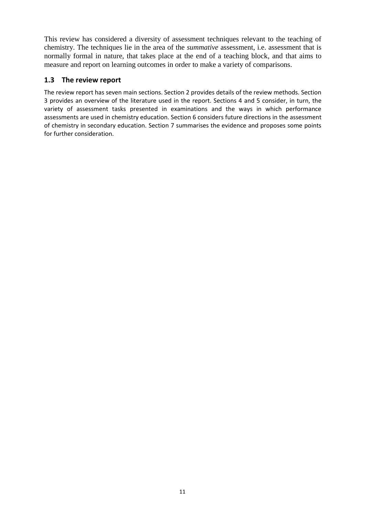This review has considered a diversity of assessment techniques relevant to the teaching of chemistry. The techniques lie in the area of the *summative* assessment, i.e. assessment that is normally formal in nature, that takes place at the end of a teaching block, and that aims to measure and report on learning outcomes in order to make a variety of comparisons.

# **1.3 The review report**

The review report has seven main sections. Section 2 provides details of the review methods. Section 3 provides an overview of the literature used in the report. Sections 4 and 5 consider, in turn, the variety of assessment tasks presented in examinations and the ways in which performance assessments are used in chemistry education. Section 6 considers future directions in the assessment of chemistry in secondary education. Section 7 summarises the evidence and proposes some points for further consideration.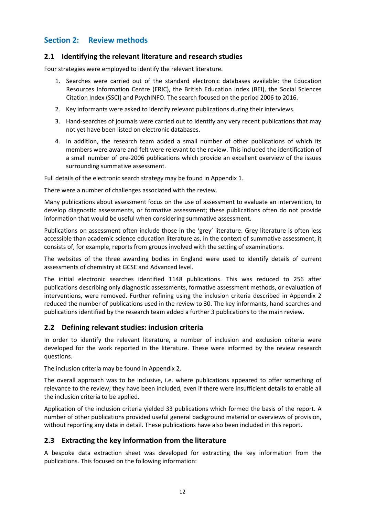# **Section 2: Review methods**

## **2.1 Identifying the relevant literature and research studies**

Four strategies were employed to identify the relevant literature.

- 1. Searches were carried out of the standard electronic databases available: the Education Resources Information Centre (ERIC), the British Education Index (BEI), the Social Sciences Citation Index (SSCI) and PsychINFO. The search focused on the period 2006 to 2016.
- 2. Key informants were asked to identify relevant publications during their interviews.
- 3. Hand-searches of journals were carried out to identify any very recent publications that may not yet have been listed on electronic databases.
- 4. In addition, the research team added a small number of other publications of which its members were aware and felt were relevant to the review. This included the identification of a small number of pre-2006 publications which provide an excellent overview of the issues surrounding summative assessment.

Full details of the electronic search strategy may be found in Appendix 1.

There were a number of challenges associated with the review.

Many publications about assessment focus on the use of assessment to evaluate an intervention, to develop diagnostic assessments, or formative assessment; these publications often do not provide information that would be useful when considering summative assessment.

Publications on assessment often include those in the 'grey' literature. Grey literature is often less accessible than academic science education literature as, in the context of summative assessment, it consists of, for example, reports from groups involved with the setting of examinations.

The websites of the three awarding bodies in England were used to identify details of current assessments of chemistry at GCSE and Advanced level.

The initial electronic searches identified 1148 publications. This was reduced to 256 after publications describing only diagnostic assessments, formative assessment methods, or evaluation of interventions, were removed. Further refining using the inclusion criteria described in Appendix 2 reduced the number of publications used in the review to 30. The key informants, hand-searches and publications identified by the research team added a further 3 publications to the main review.

### **2.2 Defining relevant studies: inclusion criteria**

In order to identify the relevant literature, a number of inclusion and exclusion criteria were developed for the work reported in the literature. These were informed by the review research questions.

The inclusion criteria may be found in Appendix 2.

The overall approach was to be inclusive, i.e. where publications appeared to offer something of relevance to the review; they have been included, even if there were insufficient details to enable all the inclusion criteria to be applied.

Application of the inclusion criteria yielded 33 publications which formed the basis of the report. A number of other publications provided useful general background material or overviews of provision, without reporting any data in detail. These publications have also been included in this report.

# **2.3 Extracting the key information from the literature**

A bespoke data extraction sheet was developed for extracting the key information from the publications. This focused on the following information: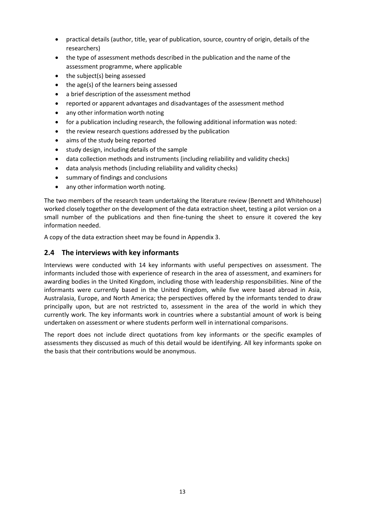- practical details (author, title, year of publication, source, country of origin, details of the researchers)
- the type of assessment methods described in the publication and the name of the assessment programme, where applicable
- the subject(s) being assessed
- the age(s) of the learners being assessed
- a brief description of the assessment method
- reported or apparent advantages and disadvantages of the assessment method
- any other information worth noting
- for a publication including research, the following additional information was noted:
- the review research questions addressed by the publication
- aims of the study being reported
- study design, including details of the sample
- data collection methods and instruments (including reliability and validity checks)
- data analysis methods (including reliability and validity checks)
- summary of findings and conclusions
- any other information worth noting.

The two members of the research team undertaking the literature review (Bennett and Whitehouse) worked closely together on the development of the data extraction sheet, testing a pilot version on a small number of the publications and then fine-tuning the sheet to ensure it covered the key information needed.

A copy of the data extraction sheet may be found in Appendix 3.

# **2.4 The interviews with key informants**

Interviews were conducted with 14 key informants with useful perspectives on assessment. The informants included those with experience of research in the area of assessment, and examiners for awarding bodies in the United Kingdom, including those with leadership responsibilities. Nine of the informants were currently based in the United Kingdom, while five were based abroad in Asia, Australasia, Europe, and North America; the perspectives offered by the informants tended to draw principally upon, but are not restricted to, assessment in the area of the world in which they currently work. The key informants work in countries where a substantial amount of work is being undertaken on assessment or where students perform well in international comparisons.

The report does not include direct quotations from key informants or the specific examples of assessments they discussed as much of this detail would be identifying. All key informants spoke on the basis that their contributions would be anonymous.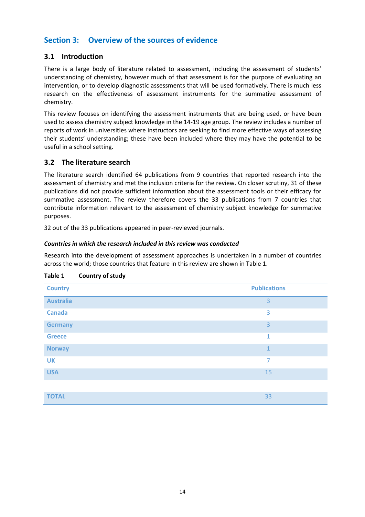# **Section 3: Overview of the sources of evidence**

## **3.1 Introduction**

There is a large body of literature related to assessment, including the assessment of students' understanding of chemistry, however much of that assessment is for the purpose of evaluating an intervention, or to develop diagnostic assessments that will be used formatively. There is much less research on the effectiveness of assessment instruments for the summative assessment of chemistry.

This review focuses on identifying the assessment instruments that are being used, or have been used to assess chemistry subject knowledge in the 14-19 age group. The review includes a number of reports of work in universities where instructors are seeking to find more effective ways of assessing their students' understanding; these have been included where they may have the potential to be useful in a school setting.

## **3.2 The literature search**

The literature search identified 64 publications from 9 countries that reported research into the assessment of chemistry and met the inclusion criteria for the review. On closer scrutiny, 31 of these publications did not provide sufficient information about the assessment tools or their efficacy for summative assessment. The review therefore covers the 33 publications from 7 countries that contribute information relevant to the assessment of chemistry subject knowledge for summative purposes.

32 out of the 33 publications appeared in peer-reviewed journals.

#### *Countries in which the research included in this review was conducted*

Research into the development of assessment approaches is undertaken in a number of countries across the world; those countries that feature in this review are shown in Table 1.

| <b>Country</b>   | <b>Publications</b> |
|------------------|---------------------|
| <b>Australia</b> | $\overline{3}$      |
| <b>Canada</b>    | 3                   |
| <b>Germany</b>   | $\overline{3}$      |
| <b>Greece</b>    | $\mathbf{1}$        |
| <b>Norway</b>    | $\mathbf{1}$        |
| <b>UK</b>        | 7                   |
| <b>USA</b>       | 15                  |
|                  |                     |
| <b>TOTAL</b>     | 33                  |

### <span id="page-13-0"></span>**Table 1 Country of study**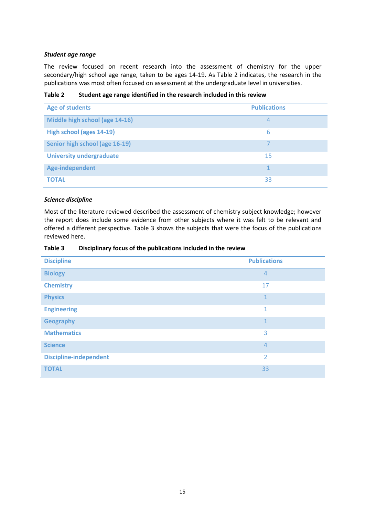#### *Student age range*

The review focused on recent research into the assessment of chemistry for the upper secondary/high school age range, taken to be ages 14-19. As Table 2 indicates, the research in the publications was most often focused on assessment at the undergraduate level in universities.

<span id="page-14-0"></span>**Table 2 Student age range identified in the research included in this review**

| <b>Age of students</b>          | <b>Publications</b> |
|---------------------------------|---------------------|
| Middle high school (age 14-16)  | 4                   |
| High school (ages 14-19)        | 6                   |
| Senior high school (age 16-19)  |                     |
| <b>University undergraduate</b> | 15                  |
| Age-independent                 |                     |
| <b>TOTAL</b>                    | 33                  |

#### *Science discipline*

Most of the literature reviewed described the assessment of chemistry subject knowledge; however the report does include some evidence from other subjects where it was felt to be relevant and offered a different perspective. Table 3 shows the subjects that were the focus of the publications reviewed here.

<span id="page-14-1"></span>

| Table 3 | Disciplinary focus of the publications included in the review |
|---------|---------------------------------------------------------------|
|---------|---------------------------------------------------------------|

| <b>Discipline</b>             | <b>Publications</b> |
|-------------------------------|---------------------|
| <b>Biology</b>                | $\overline{4}$      |
| <b>Chemistry</b>              | 17                  |
| <b>Physics</b>                | $\mathbf{1}$        |
| <b>Engineering</b>            | $\mathbf{1}$        |
| <b>Geography</b>              | $\mathbf{1}$        |
| <b>Mathematics</b>            | 3                   |
| <b>Science</b>                | $\overline{4}$      |
| <b>Discipline-independent</b> | $\overline{2}$      |
| <b>TOTAL</b>                  | 33                  |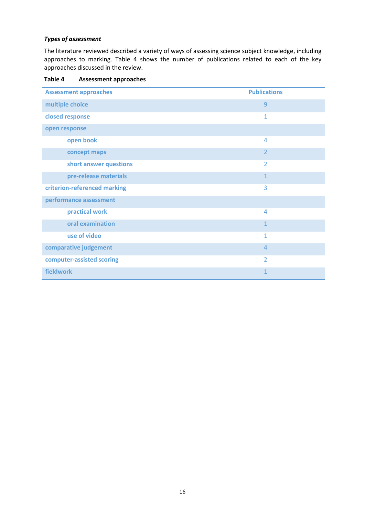#### *Types of assessment*

The literature reviewed described a variety of ways of assessing science subject knowledge, including approaches to marking. Table 4 shows the number of publications related to each of the key approaches discussed in the review.

| <b>Assessment approaches</b> | <b>Publications</b> |
|------------------------------|---------------------|
| multiple choice              | 9                   |
| closed response              | 1                   |
| open response                |                     |
| open book                    | $\overline{4}$      |
| concept maps                 | $\overline{2}$      |
| short answer questions       | $\overline{2}$      |
| pre-release materials        | $\mathbf{1}$        |
| criterion-referenced marking | 3                   |
| performance assessment       |                     |
| practical work               | $\overline{4}$      |
| oral examination             | $\mathbf{1}$        |
| use of video                 | $\mathbf{1}$        |
| comparative judgement        | $\overline{4}$      |
| computer-assisted scoring    | $\overline{2}$      |
| fieldwork                    | $\mathbf{1}$        |

<span id="page-15-0"></span>**Table 4 Assessment approaches**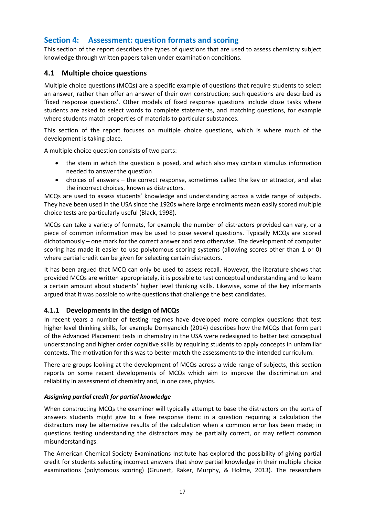# **Section 4: Assessment: question formats and scoring**

This section of the report describes the types of questions that are used to assess chemistry subject knowledge through written papers taken under examination conditions.

## **4.1 Multiple choice questions**

Multiple choice questions (MCQs) are a specific example of questions that require students to select an answer, rather than offer an answer of their own construction; such questions are described as 'fixed response questions'. Other models of fixed response questions include cloze tasks where students are asked to select words to complete statements, and matching questions, for example where students match properties of materials to particular substances.

This section of the report focuses on multiple choice questions, which is where much of the development is taking place.

A multiple choice question consists of two parts:

- the stem in which the question is posed, and which also may contain stimulus information needed to answer the question
- choices of answers the correct response, sometimes called the key or attractor, and also the incorrect choices, known as distractors.

MCQs are used to assess students' knowledge and understanding across a wide range of subjects. They have been used in the USA since the 1920s where large enrolments mean easily scored multiple choice tests are particularly useful (Black, 1998).

MCQs can take a variety of formats, for example the number of distractors provided can vary, or a piece of common information may be used to pose several questions. Typically MCQs are scored dichotomously – one mark for the correct answer and zero otherwise. The development of computer scoring has made it easier to use polytomous scoring systems (allowing scores other than 1 or 0) where partial credit can be given for selecting certain distractors.

It has been argued that MCQ can only be used to assess recall. However, the literature shows that provided MCQs are written appropriately, it is possible to test conceptual understanding and to learn a certain amount about students' higher level thinking skills. Likewise, some of the key informants argued that it was possible to write questions that challenge the best candidates.

### **4.1.1 Developments in the design of MCQs**

In recent years a number of testing regimes have developed more complex questions that test higher level thinking skills, for example Domyancich (2014) describes how the MCQs that form part of the Advanced Placement tests in chemistry in the USA were redesigned to better test conceptual understanding and higher order cognitive skills by requiring students to apply concepts in unfamiliar contexts. The motivation for this was to better match the assessments to the intended curriculum.

There are groups looking at the development of MCQs across a wide range of subjects, this section reports on some recent developments of MCQs which aim to improve the discrimination and reliability in assessment of chemistry and, in one case, physics.

### *Assigning partial credit for partial knowledge*

When constructing MCQs the examiner will typically attempt to base the distractors on the sorts of answers students might give to a free response item: in a question requiring a calculation the distractors may be alternative results of the calculation when a common error has been made; in questions testing understanding the distractors may be partially correct, or may reflect common misunderstandings.

The American Chemical Society Examinations Institute has explored the possibility of giving partial credit for students selecting incorrect answers that show partial knowledge in their multiple choice examinations (polytomous scoring) (Grunert, Raker, Murphy, & Holme, 2013). The researchers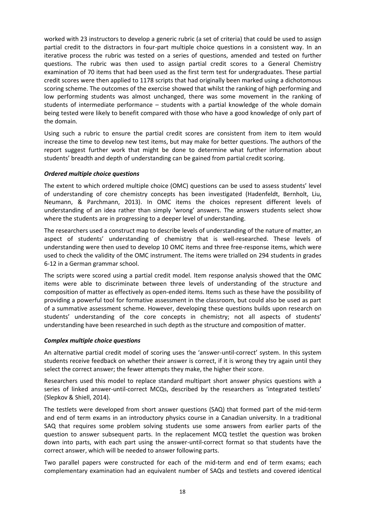worked with 23 instructors to develop a generic rubric (a set of criteria) that could be used to assign partial credit to the distractors in four-part multiple choice questions in a consistent way. In an iterative process the rubric was tested on a series of questions, amended and tested on further questions. The rubric was then used to assign partial credit scores to a General Chemistry examination of 70 items that had been used as the first term test for undergraduates. These partial credit scores were then applied to 1178 scripts that had originally been marked using a dichotomous scoring scheme. The outcomes of the exercise showed that whilst the ranking of high performing and low performing students was almost unchanged, there was some movement in the ranking of students of intermediate performance – students with a partial knowledge of the whole domain being tested were likely to benefit compared with those who have a good knowledge of only part of the domain.

Using such a rubric to ensure the partial credit scores are consistent from item to item would increase the time to develop new test items, but may make for better questions. The authors of the report suggest further work that might be done to determine what further information about students' breadth and depth of understanding can be gained from partial credit scoring.

#### *Ordered multiple choice questions*

The extent to which ordered multiple choice (OMC) questions can be used to assess students' level of understanding of core chemistry concepts has been investigated (Hadenfeldt, Bernholt, Liu, Neumann, & Parchmann, 2013). In OMC items the choices represent different levels of understanding of an idea rather than simply 'wrong' answers. The answers students select show where the students are in progressing to a deeper level of understanding.

The researchers used a construct map to describe levels of understanding of the nature of matter, an aspect of students' understanding of chemistry that is well-researched. These levels of understanding were then used to develop 10 OMC items and three free-response items, which were used to check the validity of the OMC instrument. The items were trialled on 294 students in grades 6-12 in a German grammar school.

The scripts were scored using a partial credit model. Item response analysis showed that the OMC items were able to discriminate between three levels of understanding of the structure and composition of matter as effectively as open-ended items. Items such as these have the possibility of providing a powerful tool for formative assessment in the classroom, but could also be used as part of a summative assessment scheme. However, developing these questions builds upon research on students' understanding of the core concepts in chemistry; not all aspects of students' understanding have been researched in such depth as the structure and composition of matter.

#### *Complex multiple choice questions*

An alternative partial credit model of scoring uses the 'answer-until-correct' system. In this system students receive feedback on whether their answer is correct, if it is wrong they try again until they select the correct answer; the fewer attempts they make, the higher their score.

Researchers used this model to replace standard multipart short answer physics questions with a series of linked answer-until-correct MCQs, described by the researchers as 'integrated testlets' (Slepkov & Shiell, 2014).

The testlets were developed from short answer questions (SAQ) that formed part of the mid-term and end of term exams in an introductory physics course in a Canadian university. In a traditional SAQ that requires some problem solving students use some answers from earlier parts of the question to answer subsequent parts. In the replacement MCQ testlet the question was broken down into parts, with each part using the answer-until-correct format so that students have the correct answer, which will be needed to answer following parts.

Two parallel papers were constructed for each of the mid-term and end of term exams; each complementary examination had an equivalent number of SAQs and testlets and covered identical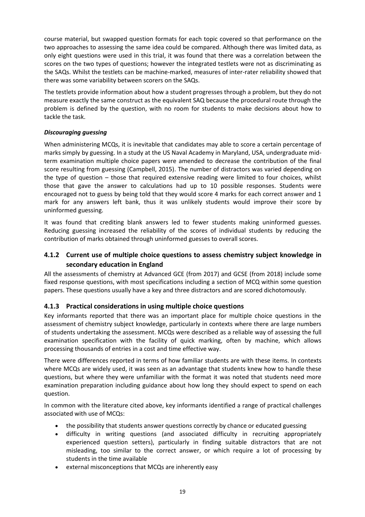course material, but swapped question formats for each topic covered so that performance on the two approaches to assessing the same idea could be compared. Although there was limited data, as only eight questions were used in this trial, it was found that there was a correlation between the scores on the two types of questions; however the integrated testlets were not as discriminating as the SAQs. Whilst the testlets can be machine-marked, measures of inter-rater reliability showed that there was some variability between scorers on the SAQs.

The testlets provide information about how a student progresses through a problem, but they do not measure exactly the same construct as the equivalent SAQ because the procedural route through the problem is defined by the question, with no room for students to make decisions about how to tackle the task.

## *Discouraging guessing*

When administering MCQs, it is inevitable that candidates may able to score a certain percentage of marks simply by guessing. In a study at the US Naval Academy in Maryland, USA, undergraduate midterm examination multiple choice papers were amended to decrease the contribution of the final score resulting from guessing (Campbell, 2015). The number of distractors was varied depending on the type of question – those that required extensive reading were limited to four choices, whilst those that gave the answer to calculations had up to 10 possible responses. Students were encouraged not to guess by being told that they would score 4 marks for each correct answer and 1 mark for any answers left bank, thus it was unlikely students would improve their score by uninformed guessing.

It was found that crediting blank answers led to fewer students making uninformed guesses. Reducing guessing increased the reliability of the scores of individual students by reducing the contribution of marks obtained through uninformed guesses to overall scores.

# **4.1.2 Current use of multiple choice questions to assess chemistry subject knowledge in secondary education in England**

All the assessments of chemistry at Advanced GCE (from 2017) and GCSE (from 2018) include some fixed response questions, with most specifications including a section of MCQ within some question papers. These questions usually have a key and three distractors and are scored dichotomously.

# **4.1.3 Practical considerations in using multiple choice questions**

Key informants reported that there was an important place for multiple choice questions in the assessment of chemistry subject knowledge, particularly in contexts where there are large numbers of students undertaking the assessment. MCQs were described as a reliable way of assessing the full examination specification with the facility of quick marking, often by machine, which allows processing thousands of entries in a cost and time effective way.

There were differences reported in terms of how familiar students are with these items. In contexts where MCQs are widely used, it was seen as an advantage that students knew how to handle these questions, but where they were unfamiliar with the format it was noted that students need more examination preparation including guidance about how long they should expect to spend on each question.

In common with the literature cited above, key informants identified a range of practical challenges associated with use of MCQs:

- the possibility that students answer questions correctly by chance or educated guessing
- difficulty in writing questions (and associated difficulty in recruiting appropriately experienced question setters), particularly in finding suitable distractors that are not misleading, too similar to the correct answer, or which require a lot of processing by students in the time available
- external misconceptions that MCQs are inherently easy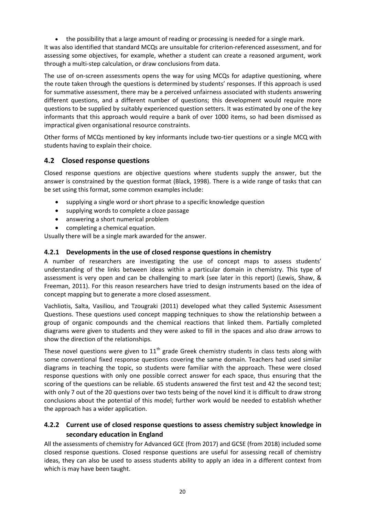the possibility that a large amount of reading or processing is needed for a single mark.

It was also identified that standard MCQs are unsuitable for criterion-referenced assessment, and for assessing some objectives, for example, whether a student can create a reasoned argument, work through a multi-step calculation, or draw conclusions from data.

The use of on-screen assessments opens the way for using MCQs for adaptive questioning, where the route taken through the questions is determined by students' responses. If this approach is used for summative assessment, there may be a perceived unfairness associated with students answering different questions, and a different number of questions; this development would require more questions to be supplied by suitably experienced question setters. It was estimated by one of the key informants that this approach would require a bank of over 1000 items, so had been dismissed as impractical given organisational resource constraints.

Other forms of MCQs mentioned by key informants include two-tier questions or a single MCQ with students having to explain their choice.

# **4.2 Closed response questions**

Closed response questions are objective questions where students supply the answer, but the answer is constrained by the question format (Black, 1998). There is a wide range of tasks that can be set using this format, some common examples include:

- supplying a single word or short phrase to a specific knowledge question
- supplying words to complete a cloze passage
- answering a short numerical problem
- completing a chemical equation.

Usually there will be a single mark awarded for the answer.

## **4.2.1 Developments in the use of closed response questions in chemistry**

A number of researchers are investigating the use of concept maps to assess students' understanding of the links between ideas within a particular domain in chemistry. This type of assessment is very open and can be challenging to mark (see later in this report) (Lewis, Shaw, & Freeman, 2011). For this reason researchers have tried to design instruments based on the idea of concept mapping but to generate a more closed assessment.

Vachliotis, Salta, Vasiliou, and Tzougraki (2011) developed what they called Systemic Assessment Questions. These questions used concept mapping techniques to show the relationship between a group of organic compounds and the chemical reactions that linked them. Partially completed diagrams were given to students and they were asked to fill in the spaces and also draw arrows to show the direction of the relationships.

These novel questions were given to  $11<sup>th</sup>$  grade Greek chemistry students in class tests along with some conventional fixed response questions covering the same domain. Teachers had used similar diagrams in teaching the topic, so students were familiar with the approach. These were closed response questions with only one possible correct answer for each space, thus ensuring that the scoring of the questions can be reliable. 65 students answered the first test and 42 the second test; with only 7 out of the 20 questions over two tests being of the novel kind it is difficult to draw strong conclusions about the potential of this model; further work would be needed to establish whether the approach has a wider application.

# **4.2.2 Current use of closed response questions to assess chemistry subject knowledge in secondary education in England**

All the assessments of chemistry for Advanced GCE (from 2017) and GCSE (from 2018) included some closed response questions. Closed response questions are useful for assessing recall of chemistry ideas, they can also be used to assess students ability to apply an idea in a different context from which is may have been taught.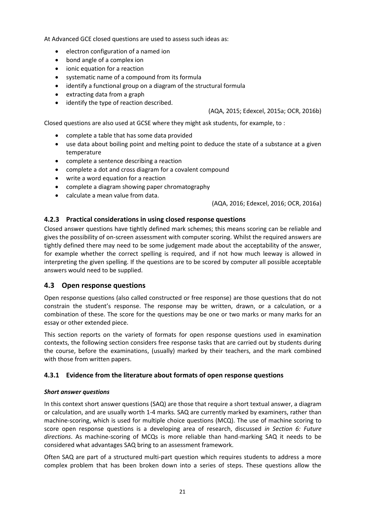At Advanced GCE closed questions are used to assess such ideas as:

- electron configuration of a named ion
- bond angle of a complex ion
- ionic equation for a reaction
- systematic name of a compound from its formula
- identify a functional group on a diagram of the structural formula
- extracting data from a graph
- identify the type of reaction described.

#### (AQA, 2015; Edexcel, 2015a; OCR, 2016b)

Closed questions are also used at GCSE where they might ask students, for example, to :

- complete a table that has some data provided
- use data about boiling point and melting point to deduce the state of a substance at a given temperature
- complete a sentence describing a reaction
- complete a dot and cross diagram for a covalent compound
- write a word equation for a reaction
- complete a diagram showing paper chromatography
- calculate a mean value from data.

(AQA, 2016; Edexcel, 2016; OCR, 2016a)

## **4.2.3 Practical considerations in using closed response questions**

Closed answer questions have tightly defined mark schemes; this means scoring can be reliable and gives the possibility of on-screen assessment with computer scoring. Whilst the required answers are tightly defined there may need to be some judgement made about the acceptability of the answer, for example whether the correct spelling is required, and if not how much leeway is allowed in interpreting the given spelling. If the questions are to be scored by computer all possible acceptable answers would need to be supplied.

# **4.3 Open response questions**

Open response questions (also called constructed or free response) are those questions that do not constrain the student's response. The response may be written, drawn, or a calculation, or a combination of these. The score for the questions may be one or two marks or many marks for an essay or other extended piece.

This section reports on the variety of formats for open response questions used in examination contexts, the following section considers free response tasks that are carried out by students during the course, before the examinations, (usually) marked by their teachers, and the mark combined with those from written papers.

### **4.3.1 Evidence from the literature about formats of open response questions**

### *Short answer questions*

In this context short answer questions (SAQ) are those that require a short textual answer, a diagram or calculation, and are usually worth 1-4 marks. SAQ are currently marked by examiners, rather than machine-scoring, which is used for multiple choice questions (MCQ). The use of machine scoring to score open response questions is a developing area of research, discussed *in Section 6: Future directions*. As machine-scoring of MCQs is more reliable than hand-marking SAQ it needs to be considered what advantages SAQ bring to an assessment framework.

Often SAQ are part of a structured multi-part question which requires students to address a more complex problem that has been broken down into a series of steps. These questions allow the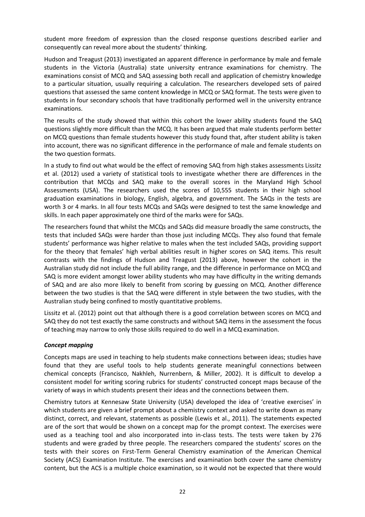student more freedom of expression than the closed response questions described earlier and consequently can reveal more about the students' thinking.

Hudson and Treagust (2013) investigated an apparent difference in performance by male and female students in the Victoria (Australia) state university entrance examinations for chemistry. The examinations consist of MCQ and SAQ assessing both recall and application of chemistry knowledge to a particular situation, usually requiring a calculation. The researchers developed sets of paired questions that assessed the same content knowledge in MCQ or SAQ format. The tests were given to students in four secondary schools that have traditionally performed well in the university entrance examinations.

The results of the study showed that within this cohort the lower ability students found the SAQ questions slightly more difficult than the MCQ. It has been argued that male students perform better on MCQ questions than female students however this study found that, after student ability is taken into account, there was no significant difference in the performance of male and female students on the two question formats.

In a study to find out what would be the effect of removing SAQ from high stakes assessments Lissitz et al. (2012) used a variety of statistical tools to investigate whether there are differences in the contribution that MCQs and SAQ make to the overall scores in the Maryland High School Assessments (USA). The researchers used the scores of 10,555 students in their high school graduation examinations in biology, English, algebra, and government. The SAQs in the tests are worth 3 or 4 marks. In all four tests MCQs and SAQs were designed to test the same knowledge and skills. In each paper approximately one third of the marks were for SAQs.

The researchers found that whilst the MCQs and SAQs did measure broadly the same constructs, the tests that included SAQs were harder than those just including MCQs. They also found that female students' performance was higher relative to males when the test included SAQs, providing support for the theory that females' high verbal abilities result in higher scores on SAQ items. This result contrasts with the findings of Hudson and Treagust (2013) above, however the cohort in the Australian study did not include the full ability range, and the difference in performance on MCQ and SAQ is more evident amongst lower ability students who may have difficulty in the writing demands of SAQ and are also more likely to benefit from scoring by guessing on MCQ. Another difference between the two studies is that the SAQ were different in style between the two studies, with the Australian study being confined to mostly quantitative problems.

Lissitz et al. (2012) point out that although there is a good correlation between scores on MCQ and SAQ they do not test exactly the same constructs and without SAQ items in the assessment the focus of teaching may narrow to only those skills required to do well in a MCQ examination.

#### *Concept mapping*

Concepts maps are used in teaching to help students make connections between ideas; studies have found that they are useful tools to help students generate meaningful connections between chemical concepts (Francisco, Nakhleh, Nurrenbern, & Miller, 2002). It is difficult to develop a consistent model for writing scoring rubrics for students' constructed concept maps because of the variety of ways in which students present their ideas and the connections between them.

Chemistry tutors at Kennesaw State University (USA) developed the idea of 'creative exercises' in which students are given a brief prompt about a chemistry context and asked to write down as many distinct, correct, and relevant, statements as possible (Lewis et al., 2011). The statements expected are of the sort that would be shown on a concept map for the prompt context. The exercises were used as a teaching tool and also incorporated into in-class tests. The tests were taken by 276 students and were graded by three people. The researchers compared the students' scores on the tests with their scores on First-Term General Chemistry examination of the American Chemical Society (ACS) Examination Institute. The exercises and examination both cover the same chemistry content, but the ACS is a multiple choice examination, so it would not be expected that there would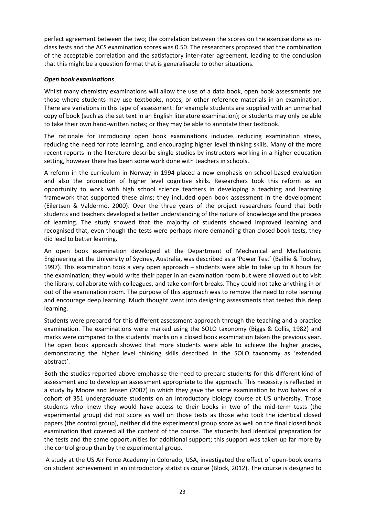perfect agreement between the two; the correlation between the scores on the exercise done as inclass tests and the ACS examination scores was 0.50. The researchers proposed that the combination of the acceptable correlation and the satisfactory inter-rater agreement, leading to the conclusion that this might be a question format that is generalisable to other situations.

#### *Open book examinations*

Whilst many chemistry examinations will allow the use of a data book, open book assessments are those where students may use textbooks, notes, or other reference materials in an examination. There are variations in this type of assessment: for example students are supplied with an unmarked copy of book (such as the set text in an English literature examination); or students may only be able to take their own hand-written notes; or they may be able to annotate their textbook.

The rationale for introducing open book examinations includes reducing examination stress, reducing the need for rote learning, and encouraging higher level thinking skills. Many of the more recent reports in the literature describe single studies by instructors working in a higher education setting, however there has been some work done with teachers in schools.

A reform in the curriculum in Norway in 1994 placed a new emphasis on school-based evaluation and also the promotion of higher level cognitive skills. Researchers took this reform as an opportunity to work with high school science teachers in developing a teaching and learning framework that supported these aims; they included open book assessment in the development (Eilertsen & Valdermo, 2000). Over the three years of the project researchers found that both students and teachers developed a better understanding of the nature of knowledge and the process of learning. The study showed that the majority of students showed improved learning and recognised that, even though the tests were perhaps more demanding than closed book tests, they did lead to better learning.

An open book examination developed at the Department of Mechanical and Mechatronic Engineering at the University of Sydney, Australia, was described as a 'Power Test' (Baillie & Toohey, 1997). This examination took a very open approach – students were able to take up to 8 hours for the examination; they would write their paper in an examination room but were allowed out to visit the library, collaborate with colleagues, and take comfort breaks. They could not take anything in or out of the examination room. The purpose of this approach was to remove the need to rote learning and encourage deep learning. Much thought went into designing assessments that tested this deep learning.

Students were prepared for this different assessment approach through the teaching and a practice examination. The examinations were marked using the SOLO taxonomy (Biggs & Collis, 1982) and marks were compared to the students' marks on a closed book examination taken the previous year. The open book approach showed that more students were able to achieve the higher grades, demonstrating the higher level thinking skills described in the SOLO taxonomy as 'extended abstract'.

Both the studies reported above emphasise the need to prepare students for this different kind of assessment and to develop an assessment appropriate to the approach. This necessity is reflected in a study by Moore and Jensen (2007) in which they gave the same examination to two halves of a cohort of 351 undergraduate students on an introductory biology course at US university. Those students who knew they would have access to their books in two of the mid-term tests (the experimental group) did not score as well on those tests as those who took the identical closed papers (the control group), neither did the experimental group score as well on the final closed book examination that covered all the content of the course. The students had identical preparation for the tests and the same opportunities for additional support; this support was taken up far more by the control group than by the experimental group.

A study at the US Air Force Academy in Colorado, USA, investigated the effect of open-book exams on student achievement in an introductory statistics course (Block, 2012). The course is designed to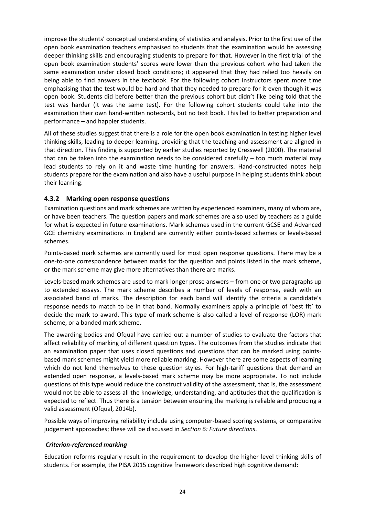improve the students' conceptual understanding of statistics and analysis. Prior to the first use of the open book examination teachers emphasised to students that the examination would be assessing deeper thinking skills and encouraging students to prepare for that. However in the first trial of the open book examination students' scores were lower than the previous cohort who had taken the same examination under closed book conditions; it appeared that they had relied too heavily on being able to find answers in the textbook. For the following cohort instructors spent more time emphasising that the test would be hard and that they needed to prepare for it even though it was open book. Students did before better than the previous cohort but didn't like being told that the test was harder (it was the same test). For the following cohort students could take into the examination their own hand-written notecards, but no text book. This led to better preparation and performance – and happier students.

All of these studies suggest that there is a role for the open book examination in testing higher level thinking skills, leading to deeper learning, providing that the teaching and assessment are aligned in that direction. This finding is supported by earlier studies reported by Cresswell (2000). The material that can be taken into the examination needs to be considered carefully  $-$  too much material may lead students to rely on it and waste time hunting for answers. Hand-constructed notes help students prepare for the examination and also have a useful purpose in helping students think about their learning.

## **4.3.2 Marking open response questions**

Examination questions and mark schemes are written by experienced examiners, many of whom are, or have been teachers. The question papers and mark schemes are also used by teachers as a guide for what is expected in future examinations. Mark schemes used in the current GCSE and Advanced GCE chemistry examinations in England are currently either points-based schemes or levels-based schemes.

Points-based mark schemes are currently used for most open response questions. There may be a one-to-one correspondence between marks for the question and points listed in the mark scheme, or the mark scheme may give more alternatives than there are marks.

Levels-based mark schemes are used to mark longer prose answers – from one or two paragraphs up to extended essays. The mark scheme describes a number of levels of response, each with an associated band of marks. The description for each band will identify the criteria a candidate's response needs to match to be in that band. Normally examiners apply a principle of 'best fit' to decide the mark to award. This type of mark scheme is also called a level of response (LOR) mark scheme, or a banded mark scheme.

The awarding bodies and Ofqual have carried out a number of studies to evaluate the factors that affect reliability of marking of different question types. The outcomes from the studies indicate that an examination paper that uses closed questions and questions that can be marked using pointsbased mark schemes might yield more reliable marking. However there are some aspects of learning which do not lend themselves to these question styles. For high-tariff questions that demand an extended open response, a levels-based mark scheme may be more appropriate. To not include questions of this type would reduce the construct validity of the assessment, that is, the assessment would not be able to assess all the knowledge, understanding, and aptitudes that the qualification is expected to reflect. Thus there is a tension between ensuring the marking is reliable and producing a valid assessment (Ofqual, 2014b).

Possible ways of improving reliability include using computer-based scoring systems, or comparative judgement approaches; these will be discussed in *Section 6: Future directions*.

### *Criterion-referenced marking*

Education reforms regularly result in the requirement to develop the higher level thinking skills of students. For example, the PISA 2015 cognitive framework described high cognitive demand: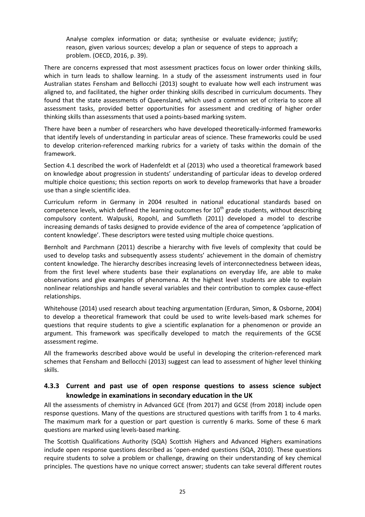Analyse complex information or data; synthesise or evaluate evidence; justify; reason, given various sources; develop a plan or sequence of steps to approach a problem. (OECD, 2016, p. 39).

There are concerns expressed that most assessment practices focus on lower order thinking skills, which in turn leads to shallow learning. In a study of the assessment instruments used in four Australian states Fensham and Bellocchi (2013) sought to evaluate how well each instrument was aligned to, and facilitated, the higher order thinking skills described in curriculum documents. They found that the state assessments of Queensland, which used a common set of criteria to score all assessment tasks, provided better opportunities for assessment and crediting of higher order thinking skills than assessments that used a points-based marking system.

There have been a number of researchers who have developed theoretically-informed frameworks that identify levels of understanding in particular areas of science. These frameworks could be used to develop criterion-referenced marking rubrics for a variety of tasks within the domain of the framework.

Section 4.1 described the work of Hadenfeldt et al (2013) who used a theoretical framework based on knowledge about progression in students' understanding of particular ideas to develop ordered multiple choice questions; this section reports on work to develop frameworks that have a broader use than a single scientific idea.

Curriculum reform in Germany in 2004 resulted in national educational standards based on competence levels, which defined the learning outcomes for  $10^{th}$  grade students, without describing compulsory content. Walpuski, Ropohl, and Sumfleth (2011) developed a model to describe increasing demands of tasks designed to provide evidence of the area of competence 'application of content knowledge'. These descriptors were tested using multiple choice questions.

Bernholt and Parchmann (2011) describe a hierarchy with five levels of complexity that could be used to develop tasks and subsequently assess students' achievement in the domain of chemistry content knowledge. The hierarchy describes increasing levels of interconnectedness between ideas, from the first level where students base their explanations on everyday life, are able to make observations and give examples of phenomena. At the highest level students are able to explain nonlinear relationships and handle several variables and their contribution to complex cause-effect relationships.

Whitehouse (2014) used research about teaching argumentation (Erduran, Simon, & Osborne, 2004) to develop a theoretical framework that could be used to write levels-based mark schemes for questions that require students to give a scientific explanation for a phenomenon or provide an argument. This framework was specifically developed to match the requirements of the GCSE assessment regime.

All the frameworks described above would be useful in developing the criterion-referenced mark schemes that Fensham and Bellocchi (2013) suggest can lead to assessment of higher level thinking skills.

## **4.3.3 Current and past use of open response questions to assess science subject knowledge in examinations in secondary education in the UK**

All the assessments of chemistry in Advanced GCE (from 2017) and GCSE (from 2018) include open response questions. Many of the questions are structured questions with tariffs from 1 to 4 marks. The maximum mark for a question or part question is currently 6 marks. Some of these 6 mark questions are marked using levels-based marking.

The Scottish Qualifications Authority (SQA) Scottish Highers and Advanced Highers examinations include open response questions described as 'open-ended questions (SQA, 2010). These questions require students to solve a problem or challenge, drawing on their understanding of key chemical principles. The questions have no unique correct answer; students can take several different routes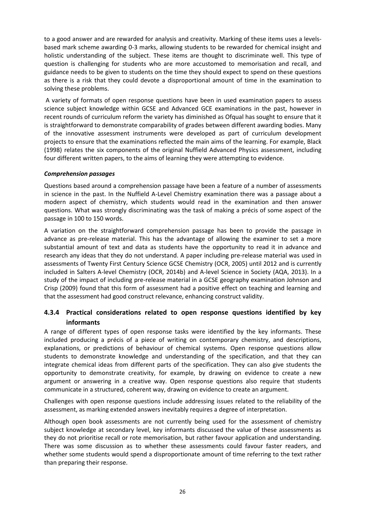to a good answer and are rewarded for analysis and creativity. Marking of these items uses a levelsbased mark scheme awarding 0-3 marks, allowing students to be rewarded for chemical insight and holistic understanding of the subject. These items are thought to discriminate well. This type of question is challenging for students who are more accustomed to memorisation and recall, and guidance needs to be given to students on the time they should expect to spend on these questions as there is a risk that they could devote a disproportional amount of time in the examination to solving these problems.

A variety of formats of open response questions have been in used examination papers to assess science subject knowledge within GCSE and Advanced GCE examinations in the past, however in recent rounds of curriculum reform the variety has diminished as Ofqual has sought to ensure that it is straightforward to demonstrate comparability of grades between different awarding bodies. Many of the innovative assessment instruments were developed as part of curriculum development projects to ensure that the examinations reflected the main aims of the learning. For example, Black (1998) relates the six components of the original Nuffield Advanced Physics assessment, including four different written papers, to the aims of learning they were attempting to evidence.

#### *Comprehension passages*

Questions based around a comprehension passage have been a feature of a number of assessments in science in the past. In the Nuffield A-Level Chemistry examination there was a passage about a modern aspect of chemistry, which students would read in the examination and then answer questions. What was strongly discriminating was the task of making a précis of some aspect of the passage in 100 to 150 words.

A variation on the straightforward comprehension passage has been to provide the passage in advance as pre-release material. This has the advantage of allowing the examiner to set a more substantial amount of text and data as students have the opportunity to read it in advance and research any ideas that they do not understand. A paper including pre-release material was used in assessments of Twenty First Century Science GCSE Chemistry (OCR, 2005) until 2012 and is currently included in Salters A-level Chemistry (OCR, 2014b) and A-level Science in Society (AQA, 2013). In a study of the impact of including pre-release material in a GCSE geography examination Johnson and Crisp (2009) found that this form of assessment had a positive effect on teaching and learning and that the assessment had good construct relevance, enhancing construct validity.

# **4.3.4 Practical considerations related to open response questions identified by key informants**

A range of different types of open response tasks were identified by the key informants. These included producing a précis of a piece of writing on contemporary chemistry, and descriptions, explanations, or predictions of behaviour of chemical systems. Open response questions allow students to demonstrate knowledge and understanding of the specification, and that they can integrate chemical ideas from different parts of the specification. They can also give students the opportunity to demonstrate creativity, for example, by drawing on evidence to create a new argument or answering in a creative way. Open response questions also require that students communicate in a structured, coherent way, drawing on evidence to create an argument.

Challenges with open response questions include addressing issues related to the reliability of the assessment, as marking extended answers inevitably requires a degree of interpretation.

Although open book assessments are not currently being used for the assessment of chemistry subject knowledge at secondary level, key informants discussed the value of these assessments as they do not prioritise recall or rote memorisation, but rather favour application and understanding. There was some discussion as to whether these assessments could favour faster readers, and whether some students would spend a disproportionate amount of time referring to the text rather than preparing their response.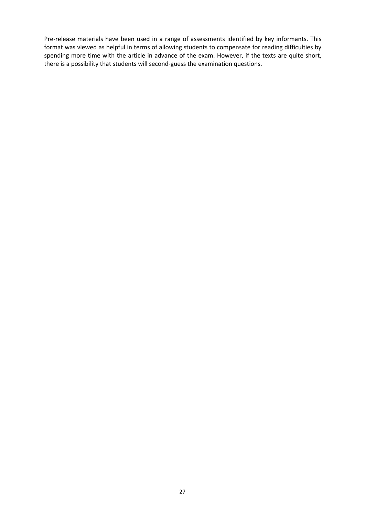Pre-release materials have been used in a range of assessments identified by key informants. This format was viewed as helpful in terms of allowing students to compensate for reading difficulties by spending more time with the article in advance of the exam. However, if the texts are quite short, there is a possibility that students will second-guess the examination questions.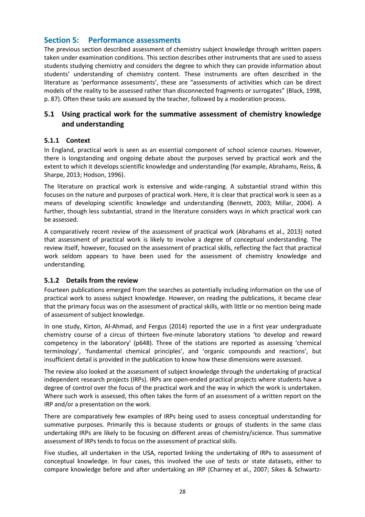# **Section 5: Performance assessments**

The previous section described assessment of chemistry subject knowledge through written papers taken under examination conditions. This section describes other instruments that are used to assess students studying chemistry and considers the degree to which they can provide information about students' understanding of chemistry content. These instruments are often described in the literature as 'performance assessments', these are "assessments of activities which can be direct models of the reality to be assessed rather than disconnected fragments or surrogates" (Black, 1998, p. 87). Often these tasks are assessed by the teacher, followed by a moderation process.

# **5.1 Using practical work for the summative assessment of chemistry knowledge and understanding**

#### **5.1.1 Context**

In England, practical work is seen as an essential component of school science courses. However, there is longstanding and ongoing debate about the purposes served by practical work and the extent to which it develops scientific knowledge and understanding (for example, Abrahams, Reiss, & Sharpe, 2013; Hodson, 1996).

The literature on practical work is extensive and wide-ranging. A substantial strand within this focuses on the nature and purposes of practical work. Here, it is clear that practical work is seen as a means of developing scientific knowledge and understanding (Bennett, 2003; Millar, 2004). A further, though less substantial, strand in the literature considers ways in which practical work can be assessed.

A comparatively recent review of the assessment of practical work (Abrahams et al., 2013) noted that assessment of practical work is likely to involve a degree of conceptual understanding. The review itself, however, focused on the assessment of practical skills, reflecting the fact that practical work seldom appears to have been used for the assessment of chemistry knowledge and understanding.

### **5.1.2 Details from the review**

Fourteen publications emerged from the searches as potentially including information on the use of practical work to assess subject knowledge. However, on reading the publications, it became clear that the primary focus was on the assessment of practical skills, with little or no mention being made of assessment of subject knowledge.

In one study, Kirton, Al-Ahmad, and Fergus (2014) reported the use in a first year undergraduate chemistry course of a circus of thirteen five-minute laboratory stations 'to develop and reward competency in the laboratory' (p648). Three of the stations are reported as assessing 'chemical terminology', 'fundamental chemical principles', and 'organic compounds and reactions', but insufficient detail is provided in the publication to know how these dimensions were assessed.

The review also looked at the assessment of subject knowledge through the undertaking of practical independent research projects (IRPs). IRPs are open-ended practical projects where students have a degree of control over the focus of the practical work and the way in which the work is undertaken. Where such work is assessed, this often takes the form of an assessment of a written report on the IRP and/or a presentation on the work.

There are comparatively few examples of IRPs being used to assess conceptual understanding for summative purposes. Primarily this is because students or groups of students in the same class undertaking IRPs are likely to be focusing on different areas of chemistry/science. Thus summative assessment of IRPs tends to focus on the assessment of practical skills.

Five studies, all undertaken in the USA, reported linking the undertaking of IRPs to assessment of conceptual knowledge. In four cases, this involved the use of tests or state datasets, either to compare knowledge before and after undertaking an IRP (Charney et al., 2007; Sikes & Schwartz‐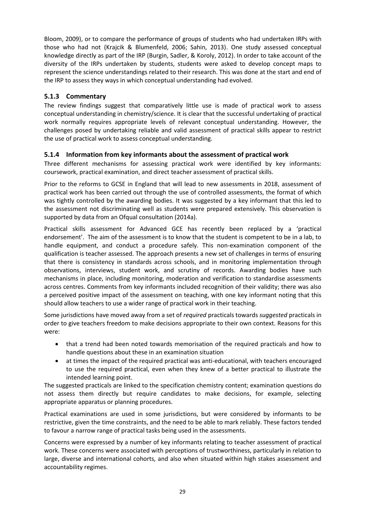Bloom, 2009), or to compare the performance of groups of students who had undertaken IRPs with those who had not (Krajcik & Blumenfeld, 2006; Sahin, 2013). One study assessed conceptual knowledge directly as part of the IRP (Burgin, Sadler, & Koroly, 2012). In order to take account of the diversity of the IRPs undertaken by students, students were asked to develop concept maps to represent the science understandings related to their research. This was done at the start and end of the IRP to assess they ways in which conceptual understanding had evolved.

# **5.1.3 Commentary**

The review findings suggest that comparatively little use is made of practical work to assess conceptual understanding in chemistry/science. It is clear that the successful undertaking of practical work normally requires appropriate levels of relevant conceptual understanding. However, the challenges posed by undertaking reliable and valid assessment of practical skills appear to restrict the use of practical work to assess conceptual understanding.

# **5.1.4 Information from key informants about the assessment of practical work**

Three different mechanisms for assessing practical work were identified by key informants: coursework, practical examination, and direct teacher assessment of practical skills.

Prior to the reforms to GCSE in England that will lead to new assessments in 2018, assessment of practical work has been carried out through the use of controlled assessments, the format of which was tightly controlled by the awarding bodies. It was suggested by a key informant that this led to the assessment not discriminating well as students were prepared extensively. This observation is supported by data from an Ofqual consultation (2014a).

Practical skills assessment for Advanced GCE has recently been replaced by a 'practical endorsement'. The aim of the assessment is to know that the student is competent to be in a lab, to handle equipment, and conduct a procedure safely. This non-examination component of the qualification is teacher assessed. The approach presents a new set of challenges in terms of ensuring that there is consistency in standards across schools, and in monitoring implementation through observations, interviews, student work, and scrutiny of records. Awarding bodies have such mechanisms in place, including monitoring, moderation and verification to standardise assessments across centres. Comments from key informants included recognition of their validity; there was also a perceived positive impact of the assessment on teaching, with one key informant noting that this should allow teachers to use a wider range of practical work in their teaching.

Some jurisdictions have moved away from a set of *required* practicals towards *suggested* practicals in order to give teachers freedom to make decisions appropriate to their own context. Reasons for this were:

- that a trend had been noted towards memorisation of the required practicals and how to handle questions about these in an examination situation
- at times the impact of the required practical was anti-educational, with teachers encouraged to use the required practical, even when they knew of a better practical to illustrate the intended learning point.

The suggested practicals are linked to the specification chemistry content; examination questions do not assess them directly but require candidates to make decisions, for example, selecting appropriate apparatus or planning procedures.

Practical examinations are used in some jurisdictions, but were considered by informants to be restrictive, given the time constraints, and the need to be able to mark reliably. These factors tended to favour a narrow range of practical tasks being used in the assessments.

Concerns were expressed by a number of key informants relating to teacher assessment of practical work. These concerns were associated with perceptions of trustworthiness, particularly in relation to large, diverse and international cohorts, and also when situated within high stakes assessment and accountability regimes.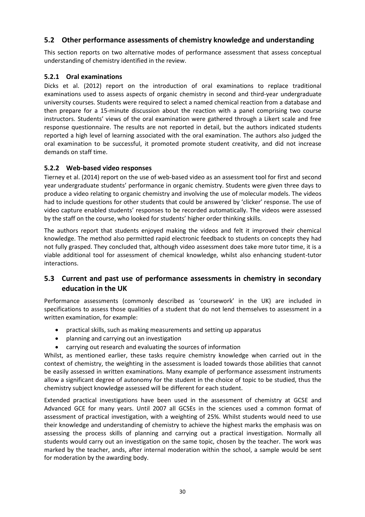# **5.2 Other performance assessments of chemistry knowledge and understanding**

This section reports on two alternative modes of performance assessment that assess conceptual understanding of chemistry identified in the review.

### **5.2.1 Oral examinations**

Dicks et al. (2012) report on the introduction of oral examinations to replace traditional examinations used to assess aspects of organic chemistry in second and third-year undergraduate university courses. Students were required to select a named chemical reaction from a database and then prepare for a 15-minute discussion about the reaction with a panel comprising two course instructors. Students' views of the oral examination were gathered through a Likert scale and free response questionnaire. The results are not reported in detail, but the authors indicated students reported a high level of learning associated with the oral examination. The authors also judged the oral examination to be successful, it promoted promote student creativity, and did not increase demands on staff time.

#### **5.2.2 Web-based video responses**

Tierney et al. (2014) report on the use of web-based video as an assessment tool for first and second year undergraduate students' performance in organic chemistry. Students were given three days to produce a video relating to organic chemistry and involving the use of molecular models. The videos had to include questions for other students that could be answered by 'clicker' response. The use of video capture enabled students' responses to be recorded automatically. The videos were assessed by the staff on the course, who looked for students' higher order thinking skills.

The authors report that students enjoyed making the videos and felt it improved their chemical knowledge. The method also permitted rapid electronic feedback to students on concepts they had not fully grasped. They concluded that, although video assessment does take more tutor time, it is a viable additional tool for assessment of chemical knowledge, whilst also enhancing student-tutor interactions.

# **5.3 Current and past use of performance assessments in chemistry in secondary education in the UK**

Performance assessments (commonly described as 'coursework' in the UK) are included in specifications to assess those qualities of a student that do not lend themselves to assessment in a written examination, for example:

- practical skills, such as making measurements and setting up apparatus
- planning and carrying out an investigation
- carrying out research and evaluating the sources of information

Whilst, as mentioned earlier, these tasks require chemistry knowledge when carried out in the context of chemistry, the weighting in the assessment is loaded towards those abilities that cannot be easily assessed in written examinations. Many example of performance assessment instruments allow a significant degree of autonomy for the student in the choice of topic to be studied, thus the chemistry subject knowledge assessed will be different for each student.

Extended practical investigations have been used in the assessment of chemistry at GCSE and Advanced GCE for many years. Until 2007 all GCSEs in the sciences used a common format of assessment of practical investigation, with a weighting of 25%. Whilst students would need to use their knowledge and understanding of chemistry to achieve the highest marks the emphasis was on assessing the process skills of planning and carrying out a practical investigation. Normally all students would carry out an investigation on the same topic, chosen by the teacher. The work was marked by the teacher, ands, after internal moderation within the school, a sample would be sent for moderation by the awarding body.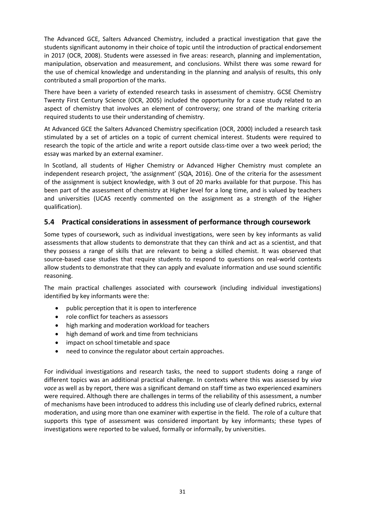The Advanced GCE, Salters Advanced Chemistry, included a practical investigation that gave the students significant autonomy in their choice of topic until the introduction of practical endorsement in 2017 (OCR, 2008). Students were assessed in five areas: research, planning and implementation, manipulation, observation and measurement, and conclusions. Whilst there was some reward for the use of chemical knowledge and understanding in the planning and analysis of results, this only contributed a small proportion of the marks.

There have been a variety of extended research tasks in assessment of chemistry. GCSE Chemistry Twenty First Century Science (OCR, 2005) included the opportunity for a case study related to an aspect of chemistry that involves an element of controversy; one strand of the marking criteria required students to use their understanding of chemistry.

At Advanced GCE the Salters Advanced Chemistry specification (OCR, 2000) included a research task stimulated by a set of articles on a topic of current chemical interest. Students were required to research the topic of the article and write a report outside class-time over a two week period; the essay was marked by an external examiner.

In Scotland, all students of Higher Chemistry or Advanced Higher Chemistry must complete an independent research project, 'the assignment' (SQA, 2016). One of the criteria for the assessment of the assignment is subject knowledge, with 3 out of 20 marks available for that purpose. This has been part of the assessment of chemistry at Higher level for a long time, and is valued by teachers and universities (UCAS recently commented on the assignment as a strength of the Higher qualification).

# **5.4 Practical considerations in assessment of performance through coursework**

Some types of coursework, such as individual investigations, were seen by key informants as valid assessments that allow students to demonstrate that they can think and act as a scientist, and that they possess a range of skills that are relevant to being a skilled chemist. It was observed that source-based case studies that require students to respond to questions on real-world contexts allow students to demonstrate that they can apply and evaluate information and use sound scientific reasoning.

The main practical challenges associated with coursework (including individual investigations) identified by key informants were the:

- public perception that it is open to interference
- role conflict for teachers as assessors
- high marking and moderation workload for teachers
- high demand of work and time from technicians
- impact on school timetable and space
- need to convince the regulator about certain approaches.

For individual investigations and research tasks, the need to support students doing a range of different topics was an additional practical challenge. In contexts where this was assessed by *viva voce* as well as by report, there was a significant demand on staff time as two experienced examiners were required. Although there are challenges in terms of the reliability of this assessment, a number of mechanisms have been introduced to address this including use of clearly defined rubrics, external moderation, and using more than one examiner with expertise in the field. The role of a culture that supports this type of assessment was considered important by key informants; these types of investigations were reported to be valued, formally or informally, by universities.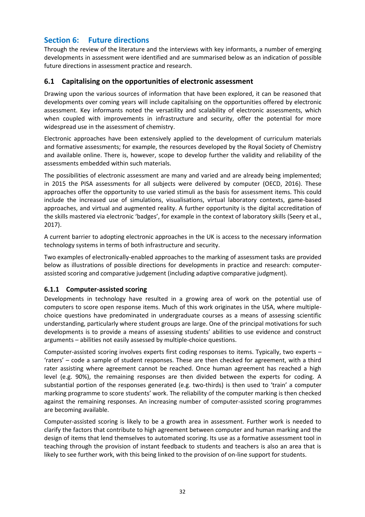# **Section 6: Future directions**

Through the review of the literature and the interviews with key informants, a number of emerging developments in assessment were identified and are summarised below as an indication of possible future directions in assessment practice and research.

# **6.1 Capitalising on the opportunities of electronic assessment**

Drawing upon the various sources of information that have been explored, it can be reasoned that developments over coming years will include capitalising on the opportunities offered by electronic assessment. Key informants noted the versatility and scalability of electronic assessments, which when coupled with improvements in infrastructure and security, offer the potential for more widespread use in the assessment of chemistry.

Electronic approaches have been extensively applied to the development of curriculum materials and formative assessments; for example, the resources developed by the Royal Society of Chemistry and available online. There is, however, scope to develop further the validity and reliability of the assessments embedded within such materials.

The possibilities of electronic assessment are many and varied and are already being implemented; in 2015 the PISA assessments for all subjects were delivered by computer (OECD, 2016). These approaches offer the opportunity to use varied stimuli as the basis for assessment items. This could include the increased use of simulations, visualisations, virtual laboratory contexts, game-based approaches, and virtual and augmented reality. A further opportunity is the digital accreditation of the skills mastered via electronic 'badges', for example in the context of laboratory skills (Seery et al., 2017).

A current barrier to adopting electronic approaches in the UK is access to the necessary information technology systems in terms of both infrastructure and security.

Two examples of electronically-enabled approaches to the marking of assessment tasks are provided below as illustrations of possible directions for developments in practice and research: computerassisted scoring and comparative judgement (including adaptive comparative judgment).

# **6.1.1 Computer-assisted scoring**

Developments in technology have resulted in a growing area of work on the potential use of computers to score open response items. Much of this work originates in the USA, where multiplechoice questions have predominated in undergraduate courses as a means of assessing scientific understanding, particularly where student groups are large. One of the principal motivations for such developments is to provide a means of assessing students' abilities to use evidence and construct arguments – abilities not easily assessed by multiple-choice questions.

Computer-assisted scoring involves experts first coding responses to items. Typically, two experts – 'raters' – code a sample of student responses. These are then checked for agreement, with a third rater assisting where agreement cannot be reached. Once human agreement has reached a high level (e.g. 90%), the remaining responses are then divided between the experts for coding. A substantial portion of the responses generated (e.g. two-thirds) is then used to 'train' a computer marking programme to score students' work. The reliability of the computer marking is then checked against the remaining responses. An increasing number of computer-assisted scoring programmes are becoming available.

Computer-assisted scoring is likely to be a growth area in assessment. Further work is needed to clarify the factors that contribute to high agreement between computer and human marking and the design of items that lend themselves to automated scoring. Its use as a formative assessment tool in teaching through the provision of instant feedback to students and teachers is also an area that is likely to see further work, with this being linked to the provision of on-line support for students.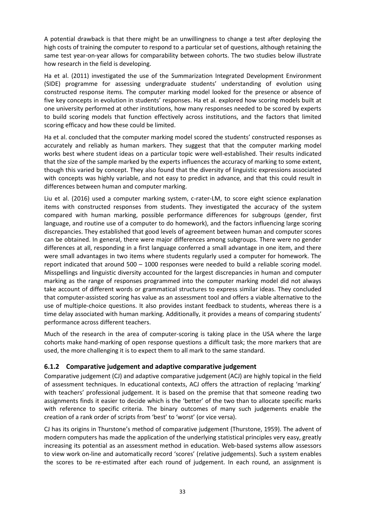A potential drawback is that there might be an unwillingness to change a test after deploying the high costs of training the computer to respond to a particular set of questions, although retaining the same test year-on-year allows for comparability between cohorts. The two studies below illustrate how research in the field is developing.

Ha et al. (2011) investigated the use of the Summarization Integrated Development Environment (SIDE) programme for assessing undergraduate students' understanding of evolution using constructed response items. The computer marking model looked for the presence or absence of five key concepts in evolution in students' responses. Ha et al. explored how scoring models built at one university performed at other institutions, how many responses needed to be scored by experts to build scoring models that function effectively across institutions, and the factors that limited scoring efficacy and how these could be limited.

Ha et al. concluded that the computer marking model scored the students' constructed responses as accurately and reliably as human markers. They suggest that that the computer marking model works best where student ideas on a particular topic were well-established. Their results indicated that the size of the sample marked by the experts influences the accuracy of marking to some extent, though this varied by concept. They also found that the diversity of linguistic expressions associated with concepts was highly variable, and not easy to predict in advance, and that this could result in differences between human and computer marking.

Liu et al. (2016) used a computer marking system, c-rater-LM, to score eight science explanation items with constructed responses from students. They investigated the accuracy of the system compared with human marking, possible performance differences for subgroups (gender, first language, and routine use of a computer to do homework), and the factors influencing large scoring discrepancies. They established that good levels of agreement between human and computer scores can be obtained. In general, there were major differences among subgroups. There were no gender differences at all, responding in a first language conferred a small advantage in one item, and there were small advantages in two items where students regularly used a computer for homework. The report indicated that around 500 – 1000 responses were needed to build a reliable scoring model. Misspellings and linguistic diversity accounted for the largest discrepancies in human and computer marking as the range of responses programmed into the computer marking model did not always take account of different words or grammatical structures to express similar ideas. They concluded that computer-assisted scoring has value as an assessment tool and offers a viable alternative to the use of multiple-choice questions. It also provides instant feedback to students, whereas there is a time delay associated with human marking. Additionally, it provides a means of comparing students' performance across different teachers.

Much of the research in the area of computer-scoring is taking place in the USA where the large cohorts make hand-marking of open response questions a difficult task; the more markers that are used, the more challenging it is to expect them to all mark to the same standard.

# **6.1.2 Comparative judgement and adaptive comparative judgement**

Comparative judgement (CJ) and adaptive comparative judgement (ACJ) are highly topical in the field of assessment techniques. In educational contexts, ACJ offers the attraction of replacing 'marking' with teachers' professional judgement. It is based on the premise that that someone reading two assignments finds it easier to decide which is the 'better' of the two than to allocate specific marks with reference to specific criteria. The binary outcomes of many such judgements enable the creation of a rank order of scripts from 'best' to 'worst' (or vice versa).

CJ has its origins in Thurstone's method of comparative judgement (Thurstone, 1959). The advent of modern computers has made the application of the underlying statistical principles very easy, greatly increasing its potential as an assessment method in education. Web-based systems allow assessors to view work on-line and automatically record 'scores' (relative judgements). Such a system enables the scores to be re-estimated after each round of judgement. In each round, an assignment is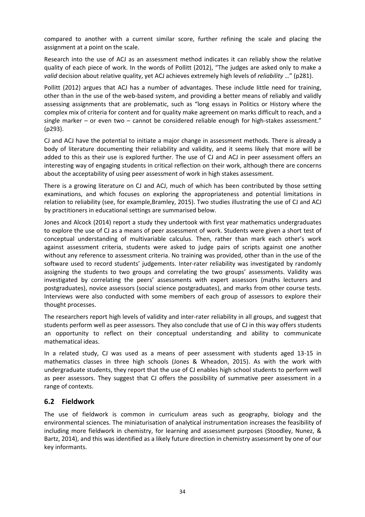compared to another with a current similar score, further refining the scale and placing the assignment at a point on the scale.

Research into the use of ACJ as an assessment method indicates it can reliably show the relative quality of each piece of work. In the words of Pollitt (2012), "The judges are asked only to make a *valid* decision about relative quality, yet ACJ achieves extremely high levels of *reliability* …" (p281).

Pollitt (2012) argues that ACJ has a number of advantages. These include little need for training, other than in the use of the web-based system, and providing a better means of reliably and validly assessing assignments that are problematic, such as "long essays in Politics or History where the complex mix of criteria for content and for quality make agreement on marks difficult to reach, and a single marker – or even two – cannot be considered reliable enough for high-stakes assessment." (p293).

CJ and ACJ have the potential to initiate a major change in assessment methods. There is already a body of literature documenting their reliability and validity, and it seems likely that more will be added to this as their use is explored further. The use of CJ and ACJ in peer assessment offers an interesting way of engaging students in critical reflection on their work, although there are concerns about the acceptability of using peer assessment of work in high stakes assessment.

There is a growing literature on CJ and ACJ, much of which has been contributed by those setting examinations, and which focuses on exploring the appropriateness and potential limitations in relation to reliability (see, for example,Bramley, 2015). Two studies illustrating the use of CJ and ACJ by practitioners in educational settings are summarised below.

Jones and Alcock (2014) report a study they undertook with first year mathematics undergraduates to explore the use of CJ as a means of peer assessment of work. Students were given a short test of conceptual understanding of multivariable calculus. Then, rather than mark each other's work against assessment criteria, students were asked to judge pairs of scripts against one another without any reference to assessment criteria. No training was provided, other than in the use of the software used to record students' judgements. Inter-rater reliability was investigated by randomly assigning the students to two groups and correlating the two groups' assessments. Validity was investigated by correlating the peers' assessments with expert assessors (maths lecturers and postgraduates), novice assessors (social science postgraduates), and marks from other course tests. Interviews were also conducted with some members of each group of assessors to explore their thought processes.

The researchers report high levels of validity and inter-rater reliability in all groups, and suggest that students perform well as peer assessors. They also conclude that use of CJ in this way offers students an opportunity to reflect on their conceptual understanding and ability to communicate mathematical ideas.

In a related study, CJ was used as a means of peer assessment with students aged 13-15 in mathematics classes in three high schools (Jones & Wheadon, 2015). As with the work with undergraduate students, they report that the use of CJ enables high school students to perform well as peer assessors. They suggest that CJ offers the possibility of summative peer assessment in a range of contexts.

# **6.2 Fieldwork**

The use of fieldwork is common in curriculum areas such as geography, biology and the environmental sciences. The miniaturisation of analytical instrumentation increases the feasibility of including more fieldwork in chemistry, for learning and assessment purposes (Stoodley, Nunez, & Bartz, 2014), and this was identified as a likely future direction in chemistry assessment by one of our key informants.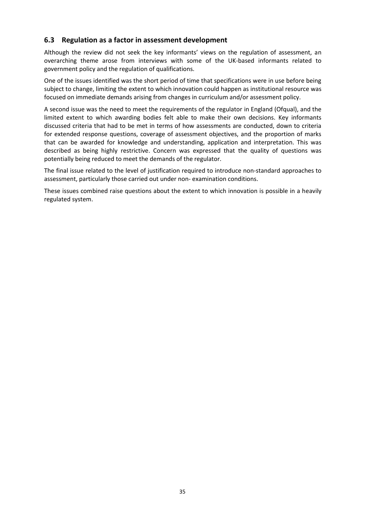# **6.3 Regulation as a factor in assessment development**

Although the review did not seek the key informants' views on the regulation of assessment, an overarching theme arose from interviews with some of the UK-based informants related to government policy and the regulation of qualifications.

One of the issues identified was the short period of time that specifications were in use before being subject to change, limiting the extent to which innovation could happen as institutional resource was focused on immediate demands arising from changes in curriculum and/or assessment policy.

A second issue was the need to meet the requirements of the regulator in England (Ofqual), and the limited extent to which awarding bodies felt able to make their own decisions. Key informants discussed criteria that had to be met in terms of how assessments are conducted, down to criteria for extended response questions, coverage of assessment objectives, and the proportion of marks that can be awarded for knowledge and understanding, application and interpretation. This was described as being highly restrictive. Concern was expressed that the quality of questions was potentially being reduced to meet the demands of the regulator.

The final issue related to the level of justification required to introduce non-standard approaches to assessment, particularly those carried out under non- examination conditions.

These issues combined raise questions about the extent to which innovation is possible in a heavily regulated system.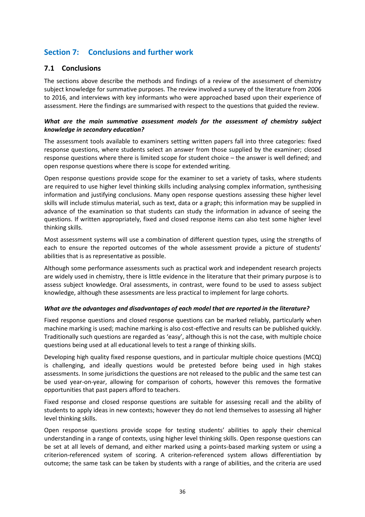# **Section 7: Conclusions and further work**

# **7.1 Conclusions**

The sections above describe the methods and findings of a review of the assessment of chemistry subject knowledge for summative purposes. The review involved a survey of the literature from 2006 to 2016, and interviews with key informants who were approached based upon their experience of assessment. Here the findings are summarised with respect to the questions that guided the review.

### *What are the main summative assessment models for the assessment of chemistry subject knowledge in secondary education?*

The assessment tools available to examiners setting written papers fall into three categories: fixed response questions, where students select an answer from those supplied by the examiner; closed response questions where there is limited scope for student choice – the answer is well defined; and open response questions where there is scope for extended writing.

Open response questions provide scope for the examiner to set a variety of tasks, where students are required to use higher level thinking skills including analysing complex information, synthesising information and justifying conclusions. Many open response questions assessing these higher level skills will include stimulus material, such as text, data or a graph; this information may be supplied in advance of the examination so that students can study the information in advance of seeing the questions. If written appropriately, fixed and closed response items can also test some higher level thinking skills.

Most assessment systems will use a combination of different question types, using the strengths of each to ensure the reported outcomes of the whole assessment provide a picture of students' abilities that is as representative as possible.

Although some performance assessments such as practical work and independent research projects are widely used in chemistry, there is little evidence in the literature that their primary purpose is to assess subject knowledge. Oral assessments, in contrast, were found to be used to assess subject knowledge, although these assessments are less practical to implement for large cohorts.

### *What are the advantages and disadvantages of each model that are reported in the literature?*

Fixed response questions and closed response questions can be marked reliably, particularly when machine marking is used; machine marking is also cost-effective and results can be published quickly. Traditionally such questions are regarded as 'easy', although this is not the case, with multiple choice questions being used at all educational levels to test a range of thinking skills.

Developing high quality fixed response questions, and in particular multiple choice questions (MCQ) is challenging, and ideally questions would be pretested before being used in high stakes assessments. In some jurisdictions the questions are not released to the public and the same test can be used year-on-year, allowing for comparison of cohorts, however this removes the formative opportunities that past papers afford to teachers.

Fixed response and closed response questions are suitable for assessing recall and the ability of students to apply ideas in new contexts; however they do not lend themselves to assessing all higher level thinking skills.

Open response questions provide scope for testing students' abilities to apply their chemical understanding in a range of contexts, using higher level thinking skills. Open response questions can be set at all levels of demand, and either marked using a points-based marking system or using a criterion-referenced system of scoring. A criterion-referenced system allows differentiation by outcome; the same task can be taken by students with a range of abilities, and the criteria are used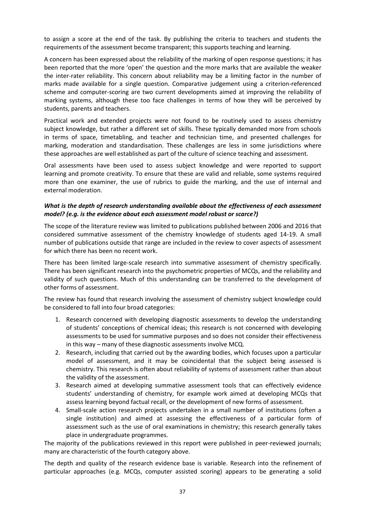to assign a score at the end of the task. By publishing the criteria to teachers and students the requirements of the assessment become transparent; this supports teaching and learning.

A concern has been expressed about the reliability of the marking of open response questions; it has been reported that the more 'open' the question and the more marks that are available the weaker the inter-rater reliability. This concern about reliability may be a limiting factor in the number of marks made available for a single question. Comparative judgement using a criterion-referenced scheme and computer-scoring are two current developments aimed at improving the reliability of marking systems, although these too face challenges in terms of how they will be perceived by students, parents and teachers.

Practical work and extended projects were not found to be routinely used to assess chemistry subject knowledge, but rather a different set of skills. These typically demanded more from schools in terms of space, timetabling, and teacher and technician time, and presented challenges for marking, moderation and standardisation. These challenges are less in some jurisdictions where these approaches are well established as part of the culture of science teaching and assessment.

Oral assessments have been used to assess subject knowledge and were reported to support learning and promote creativity. To ensure that these are valid and reliable, some systems required more than one examiner, the use of rubrics to guide the marking, and the use of internal and external moderation.

#### *What is the depth of research understanding available about the effectiveness of each assessment model? (e.g. is the evidence about each assessment model robust or scarce?)*

The scope of the literature review was limited to publications published between 2006 and 2016 that considered summative assessment of the chemistry knowledge of students aged 14-19. A small number of publications outside that range are included in the review to cover aspects of assessment for which there has been no recent work.

There has been limited large-scale research into summative assessment of chemistry specifically. There has been significant research into the psychometric properties of MCQs, and the reliability and validity of such questions. Much of this understanding can be transferred to the development of other forms of assessment.

The review has found that research involving the assessment of chemistry subject knowledge could be considered to fall into four broad categories:

- 1. Research concerned with developing diagnostic assessments to develop the understanding of students' conceptions of chemical ideas; this research is not concerned with developing assessments to be used for summative purposes and so does not consider their effectiveness in this way – many of these diagnostic assessments involve MCQ.
- 2. Research, including that carried out by the awarding bodies, which focuses upon a particular model of assessment, and it may be coincidental that the subject being assessed is chemistry. This research is often about reliability of systems of assessment rather than about the validity of the assessment.
- 3. Research aimed at developing summative assessment tools that can effectively evidence students' understanding of chemistry, for example work aimed at developing MCQs that assess learning beyond factual recall, or the development of new forms of assessment.
- 4. Small-scale action research projects undertaken in a small number of institutions (often a single institution) and aimed at assessing the effectiveness of a particular form of assessment such as the use of oral examinations in chemistry; this research generally takes place in undergraduate programmes.

The majority of the publications reviewed in this report were published in peer-reviewed journals; many are characteristic of the fourth category above.

The depth and quality of the research evidence base is variable. Research into the refinement of particular approaches (e.g. MCQs, computer assisted scoring) appears to be generating a solid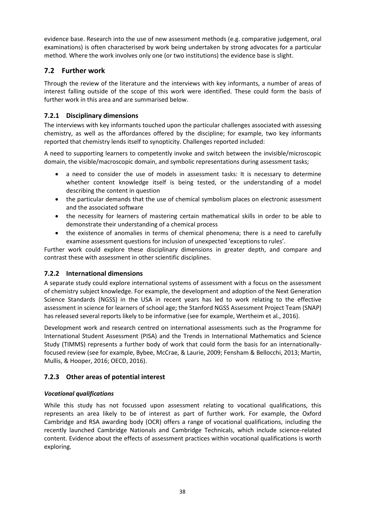evidence base. Research into the use of new assessment methods (e.g. comparative judgement, oral examinations) is often characterised by work being undertaken by strong advocates for a particular method. Where the work involves only one (or two institutions) the evidence base is slight.

# **7.2 Further work**

Through the review of the literature and the interviews with key informants, a number of areas of interest falling outside of the scope of this work were identified. These could form the basis of further work in this area and are summarised below.

# **7.2.1 Disciplinary dimensions**

The interviews with key informants touched upon the particular challenges associated with assessing chemistry, as well as the affordances offered by the discipline; for example, two key informants reported that chemistry lends itself to synopticity. Challenges reported included:

A need to supporting learners to competently invoke and switch between the invisible/microscopic domain, the visible/macroscopic domain, and symbolic representations during assessment tasks;

- a need to consider the use of models in assessment tasks: It is necessary to determine whether content knowledge itself is being tested, or the understanding of a model describing the content in question
- the particular demands that the use of chemical symbolism places on electronic assessment and the associated software
- the necessity for learners of mastering certain mathematical skills in order to be able to demonstrate their understanding of a chemical process
- the existence of anomalies in terms of chemical phenomena; there is a need to carefully examine assessment questions for inclusion of unexpected 'exceptions to rules'.

Further work could explore these disciplinary dimensions in greater depth, and compare and contrast these with assessment in other scientific disciplines.

# **7.2.2 International dimensions**

A separate study could explore international systems of assessment with a focus on the assessment of chemistry subject knowledge. For example, the development and adoption of the Next Generation Science Standards (NGSS) in the USA in recent years has led to work relating to the effective assessment in science for learners of school age; the Stanford NGSS Assessment Project Team (SNAP) has released several reports likely to be informative (see for example, Wertheim et al., 2016).

Development work and research centred on international assessments such as the Programme for International Student Assessment (PISA) and the Trends in International Mathematics and Science Study (TIMMS) represents a further body of work that could form the basis for an internationallyfocused review (see for example, Bybee, McCrae, & Laurie, 2009; Fensham & Bellocchi, 2013; Martin, Mullis, & Hooper, 2016; OECD, 2016).

# **7.2.3 Other areas of potential interest**

### *Vocational qualifications*

While this study has not focussed upon assessment relating to vocational qualifications, this represents an area likely to be of interest as part of further work. For example, the Oxford Cambridge and RSA awarding body (OCR) offers a range of vocational qualifications, including the recently launched Cambridge Nationals and Cambridge Technicals, which include science-related content. Evidence about the effects of assessment practices within vocational qualifications is worth exploring.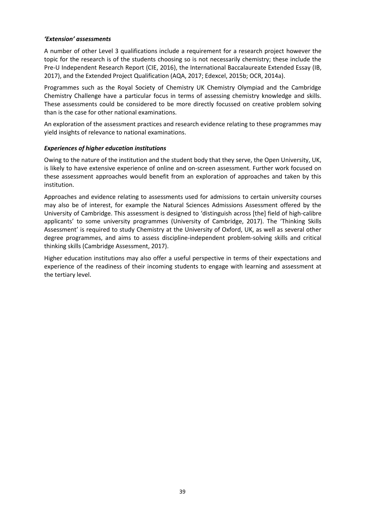#### *'Extension' assessments*

A number of other Level 3 qualifications include a requirement for a research project however the topic for the research is of the students choosing so is not necessarily chemistry; these include the Pre-U Independent Research Report (CIE, 2016), the International Baccalaureate Extended Essay (IB, 2017), and the Extended Project Qualification (AQA, 2017; Edexcel, 2015b; OCR, 2014a).

Programmes such as the Royal Society of Chemistry UK Chemistry Olympiad and the Cambridge Chemistry Challenge have a particular focus in terms of assessing chemistry knowledge and skills. These assessments could be considered to be more directly focussed on creative problem solving than is the case for other national examinations.

An exploration of the assessment practices and research evidence relating to these programmes may yield insights of relevance to national examinations.

#### *Experiences of higher education institutions*

Owing to the nature of the institution and the student body that they serve, the Open University, UK, is likely to have extensive experience of online and on-screen assessment. Further work focused on these assessment approaches would benefit from an exploration of approaches and taken by this institution.

Approaches and evidence relating to assessments used for admissions to certain university courses may also be of interest, for example the Natural Sciences Admissions Assessment offered by the University of Cambridge. This assessment is designed to 'distinguish across [the] field of high-calibre applicants' to some university programmes (University of Cambridge, 2017). The 'Thinking Skills Assessment' is required to study Chemistry at the University of Oxford, UK, as well as several other degree programmes, and aims to assess discipline-independent problem-solving skills and critical thinking skills (Cambridge Assessment, 2017).

Higher education institutions may also offer a useful perspective in terms of their expectations and experience of the readiness of their incoming students to engage with learning and assessment at the tertiary level.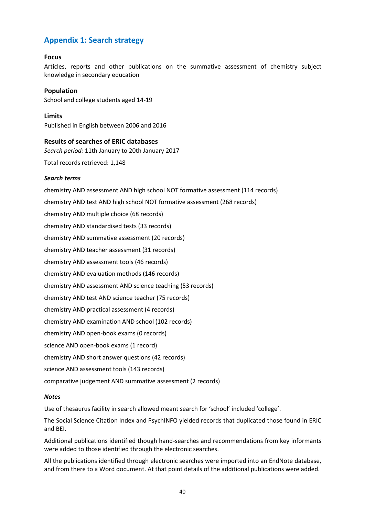# **Appendix 1: Search strategy**

#### **Focus**

Articles, reports and other publications on the summative assessment of chemistry subject knowledge in secondary education

**Population** School and college students aged 14-19

**Limits** Published in English between 2006 and 2016

#### **Results of searches of ERIC databases**

*Search period:* 11th January to 20th January 2017

Total records retrieved: 1,148

#### *Search terms*

chemistry AND assessment AND high school NOT formative assessment (114 records) chemistry AND test AND high school NOT formative assessment (268 records) chemistry AND multiple choice (68 records) chemistry AND standardised tests (33 records) chemistry AND summative assessment (20 records) chemistry AND teacher assessment (31 records) chemistry AND assessment tools (46 records) chemistry AND evaluation methods (146 records) chemistry AND assessment AND science teaching (53 records) chemistry AND test AND science teacher (75 records) chemistry AND practical assessment (4 records) chemistry AND examination AND school (102 records) chemistry AND open-book exams (0 records) science AND open-book exams (1 record) chemistry AND short answer questions (42 records) science AND assessment tools (143 records) comparative judgement AND summative assessment (2 records)

#### *Notes*

Use of thesaurus facility in search allowed meant search for 'school' included 'college'.

The Social Science Citation Index and PsychINFO yielded records that duplicated those found in ERIC and BEI.

Additional publications identified though hand-searches and recommendations from key informants were added to those identified through the electronic searches.

All the publications identified through electronic searches were imported into an EndNote database, and from there to a Word document. At that point details of the additional publications were added.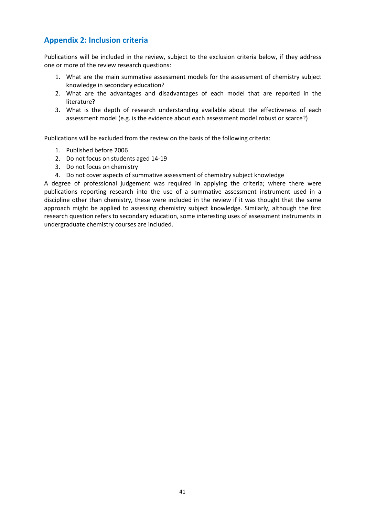# **Appendix 2: Inclusion criteria**

Publications will be included in the review, subject to the exclusion criteria below, if they address one or more of the review research questions:

- 1. What are the main summative assessment models for the assessment of chemistry subject knowledge in secondary education?
- 2. What are the advantages and disadvantages of each model that are reported in the literature?
- 3. What is the depth of research understanding available about the effectiveness of each assessment model (e.g. is the evidence about each assessment model robust or scarce?)

Publications will be excluded from the review on the basis of the following criteria:

- 1. Published before 2006
- 2. Do not focus on students aged 14-19
- 3. Do not focus on chemistry
- 4. Do not cover aspects of summative assessment of chemistry subject knowledge

A degree of professional judgement was required in applying the criteria; where there were publications reporting research into the use of a summative assessment instrument used in a discipline other than chemistry, these were included in the review if it was thought that the same approach might be applied to assessing chemistry subject knowledge. Similarly, although the first research question refers to secondary education, some interesting uses of assessment instruments in undergraduate chemistry courses are included.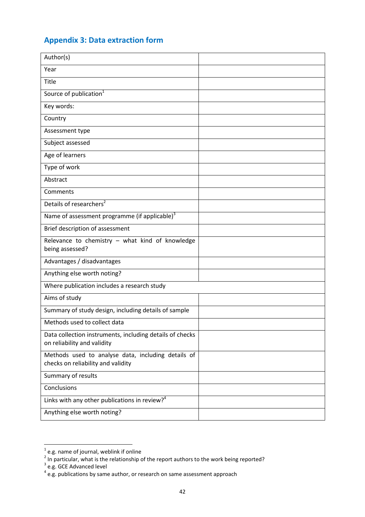# **Appendix 3: Data extraction form**

| Author(s)                                                                                |  |
|------------------------------------------------------------------------------------------|--|
| Year                                                                                     |  |
| Title                                                                                    |  |
| Source of publication <sup>1</sup>                                                       |  |
| Key words:                                                                               |  |
| Country                                                                                  |  |
| Assessment type                                                                          |  |
| Subject assessed                                                                         |  |
| Age of learners                                                                          |  |
| Type of work                                                                             |  |
| Abstract                                                                                 |  |
| Comments                                                                                 |  |
| Details of researchers <sup>2</sup>                                                      |  |
| Name of assessment programme (if applicable) <sup>3</sup>                                |  |
| Brief description of assessment                                                          |  |
| Relevance to chemistry - what kind of knowledge<br>being assessed?                       |  |
| Advantages / disadvantages                                                               |  |
| Anything else worth noting?                                                              |  |
| Where publication includes a research study                                              |  |
| Aims of study                                                                            |  |
| Summary of study design, including details of sample                                     |  |
| Methods used to collect data                                                             |  |
| Data collection instruments, including details of checks<br>on reliability and validity  |  |
| Methods used to analyse data, including details of<br>checks on reliability and validity |  |
| Summary of results                                                                       |  |
| Conclusions                                                                              |  |
| Links with any other publications in review? <sup>4</sup>                                |  |
| Anything else worth noting?                                                              |  |

<sup>&</sup>lt;sup>1</sup> e.g. name of journal, weblink if online<br>
<sup>2</sup> In particular, what is the relationship of the report authors to the work being reported?<br>
<sup>3</sup> e.g. GCE Advanced level<br>
<sup>4</sup> e.g. publications by same author, or research on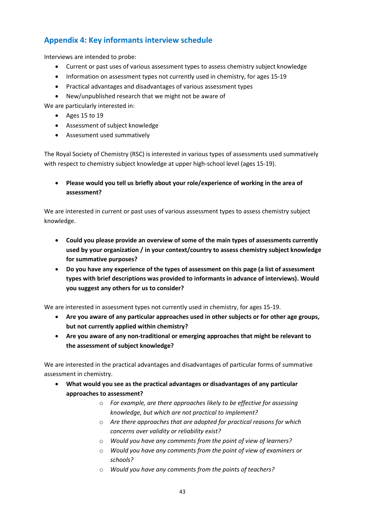# **Appendix 4: Key informants interview schedule**

Interviews are intended to probe:

- Current or past uses of various assessment types to assess chemistry subject knowledge
- Information on assessment types not currently used in chemistry, for ages 15-19
- Practical advantages and disadvantages of various assessment types
- New/unpublished research that we might not be aware of

We are particularly interested in:

- Ages 15 to 19
- Assessment of subject knowledge
- Assessment used summatively

The Royal Society of Chemistry (RSC) is interested in various types of assessments used summatively with respect to chemistry subject knowledge at upper high-school level (ages 15-19).

 **Please would you tell us briefly about your role/experience of working in the area of assessment?** 

We are interested in current or past uses of various assessment types to assess chemistry subject knowledge.

- **Could you please provide an overview of some of the main types of assessments currently used by your organization / in your context/country to assess chemistry subject knowledge for summative purposes?**
- **Do you have any experience of the types of assessment on this page (a list of assessment types with brief descriptions was provided to informants in advance of interviews). Would you suggest any others for us to consider?**

We are interested in assessment types not currently used in chemistry, for ages 15-19.

- **Are you aware of any particular approaches used in other subjects or for other age groups, but not currently applied within chemistry?**
- **Are you aware of any non-traditional or emerging approaches that might be relevant to the assessment of subject knowledge?**

We are interested in the practical advantages and disadvantages of particular forms of summative assessment in chemistry.

- **What would you see as the practical advantages or disadvantages of any particular approaches to assessment?**
	- o *For example, are there approaches likely to be effective for assessing knowledge, but which are not practical to implement?*
	- o *Are there approaches that are adopted for practical reasons for which concerns over validity or reliability exist?*
	- o *Would you have any comments from the point of view of learners?*
	- o *Would you have any comments from the point of view of examiners or schools?*
	- o *Would you have any comments from the points of teachers?*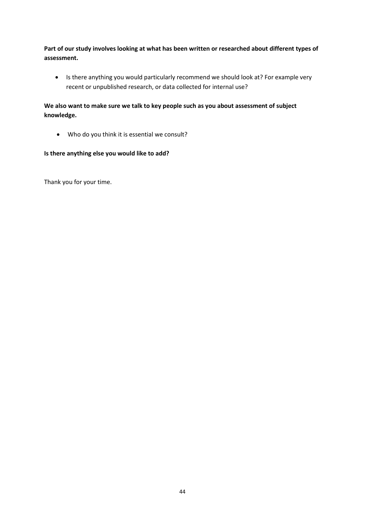**Part of our study involves looking at what has been written or researched about different types of assessment.**

• Is there anything you would particularly recommend we should look at? For example very recent or unpublished research, or data collected for internal use?

**We also want to make sure we talk to key people such as you about assessment of subject knowledge.**

Who do you think it is essential we consult?

#### **Is there anything else you would like to add?**

Thank you for your time.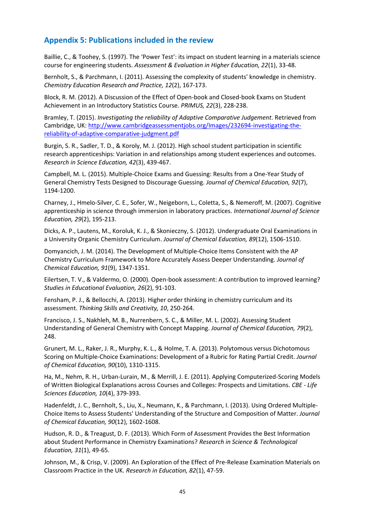# **Appendix 5: Publications included in the review**

Baillie, C., & Toohey, S. (1997). The 'Power Test': its impact on student learning in a materials science course for engineering students. *Assessment & Evaluation in Higher Education, 22*(1), 33-48.

Bernholt, S., & Parchmann, I. (2011). Assessing the complexity of students' knowledge in chemistry. *Chemistry Education Research and Practice, 12*(2), 167-173.

Block, R. M. (2012). A Discussion of the Effect of Open-book and Closed-book Exams on Student Achievement in an Introductory Statistics Course. *PRIMUS, 22*(3), 228-238.

Bramley, T. (2015). *Investigating the reliability of Adaptive Comparative Judgement*. Retrieved from Cambridge, UK: [http://www.cambridgeassessmentjobs.org/Images/232694-investigating-the](http://www.cambridgeassessmentjobs.org/Images/232694-investigating-the-reliability-of-adaptive-comparative-judgment.pdf)[reliability-of-adaptive-comparative-judgment.pdf](http://www.cambridgeassessmentjobs.org/Images/232694-investigating-the-reliability-of-adaptive-comparative-judgment.pdf)

Burgin, S. R., Sadler, T. D., & Koroly, M. J. (2012). High school student participation in scientific research apprenticeships: Variation in and relationships among student experiences and outcomes. *Research in Science Education, 42*(3), 439-467.

Campbell, M. L. (2015). Multiple-Choice Exams and Guessing: Results from a One-Year Study of General Chemistry Tests Designed to Discourage Guessing. *Journal of Chemical Education, 92*(7), 1194-1200.

Charney, J., Hmelo‐Silver, C. E., Sofer, W., Neigeborn, L., Coletta, S., & Nemeroff, M. (2007). Cognitive apprenticeship in science through immersion in laboratory practices. *International Journal of Science Education, 29*(2), 195-213.

Dicks, A. P., Lautens, M., Koroluk, K. J., & Skonieczny, S. (2012). Undergraduate Oral Examinations in a University Organic Chemistry Curriculum. *Journal of Chemical Education, 89*(12), 1506-1510.

Domyancich, J. M. (2014). The Development of Multiple-Choice Items Consistent with the AP Chemistry Curriculum Framework to More Accurately Assess Deeper Understanding. *Journal of Chemical Education, 91*(9), 1347-1351.

Eilertsen, T. V., & Valdermo, O. (2000). Open-book assessment: A contribution to improved learning? *Studies in Educational Evaluation, 26*(2), 91-103.

Fensham, P. J., & Bellocchi, A. (2013). Higher order thinking in chemistry curriculum and its assessment. *Thinking Skills and Creativity, 10*, 250-264.

Francisco, J. S., Nakhleh, M. B., Nurrenbern, S. C., & Miller, M. L. (2002). Assessing Student Understanding of General Chemistry with Concept Mapping. *Journal of Chemical Education, 79*(2), 248.

Grunert, M. L., Raker, J. R., Murphy, K. L., & Holme, T. A. (2013). Polytomous versus Dichotomous Scoring on Multiple-Choice Examinations: Development of a Rubric for Rating Partial Credit. *Journal of Chemical Education, 90*(10), 1310-1315.

Ha, M., Nehm, R. H., Urban-Lurain, M., & Merrill, J. E. (2011). Applying Computerized-Scoring Models of Written Biological Explanations across Courses and Colleges: Prospects and Limitations. *CBE - Life Sciences Education, 10*(4), 379-393.

Hadenfeldt, J. C., Bernholt, S., Liu, X., Neumann, K., & Parchmann, I. (2013). Using Ordered Multiple-Choice Items to Assess Students' Understanding of the Structure and Composition of Matter. *Journal of Chemical Education, 90*(12), 1602-1608.

Hudson, R. D., & Treagust, D. F. (2013). Which Form of Assessment Provides the Best Information about Student Performance in Chemistry Examinations? *Research in Science & Technological Education, 31*(1), 49-65.

Johnson, M., & Crisp, V. (2009). An Exploration of the Effect of Pre-Release Examination Materials on Classroom Practice in the UK. *Research in Education, 82*(1), 47-59.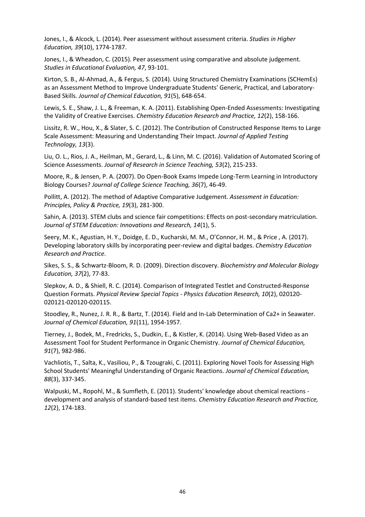Jones, I., & Alcock, L. (2014). Peer assessment without assessment criteria. *Studies in Higher Education, 39*(10), 1774-1787.

Jones, I., & Wheadon, C. (2015). Peer assessment using comparative and absolute judgement. *Studies in Educational Evaluation, 47*, 93-101.

Kirton, S. B., Al-Ahmad, A., & Fergus, S. (2014). Using Structured Chemistry Examinations (SCHemEs) as an Assessment Method to Improve Undergraduate Students' Generic, Practical, and Laboratory-Based Skills. *Journal of Chemical Education, 91*(5), 648-654.

Lewis, S. E., Shaw, J. L., & Freeman, K. A. (2011). Establishing Open-Ended Assessments: Investigating the Validity of Creative Exercises. *Chemistry Education Research and Practice, 12*(2), 158-166.

Lissitz, R. W., Hou, X., & Slater, S. C. (2012). The Contribution of Constructed Response Items to Large Scale Assessment: Measuring and Understanding Their Impact. *Journal of Applied Testing Technology, 13*(3).

Liu, O. L., Rios, J. A., Heilman, M., Gerard, L., & Linn, M. C. (2016). Validation of Automated Scoring of Science Assessments. *Journal of Research in Science Teaching, 53*(2), 215-233.

Moore, R., & Jensen, P. A. (2007). Do Open-Book Exams Impede Long-Term Learning in Introductory Biology Courses? *Journal of College Science Teaching, 36*(7), 46-49.

Pollitt, A. (2012). The method of Adaptive Comparative Judgement. *Assessment in Education: Principles, Policy & Practice, 19*(3), 281-300.

Sahin, A. (2013). STEM clubs and science fair competitions: Effects on post-secondary matriculation. *Journal of STEM Education: Innovations and Research, 14*(1), 5.

Seery, M. K., Agustian, H. Y., Doidge, E. D., Kucharski, M. M., O'Connor, H. M., & Price , A. (2017). Developing laboratory skills by incorporating peer-review and digital badges. *Chemistry Education Research and Practice*.

Sikes, S. S., & Schwartz‐Bloom, R. D. (2009). Direction discovery. *Biochemistry and Molecular Biology Education, 37*(2), 77-83.

Slepkov, A. D., & Shiell, R. C. (2014). Comparison of Integrated Testlet and Constructed-Response Question Formats. *Physical Review Special Topics - Physics Education Research, 10*(2), 020120- 020121-020120-020115.

Stoodley, R., Nunez, J. R. R., & Bartz, T. (2014). Field and In-Lab Determination of Ca2+ in Seawater. *Journal of Chemical Education, 91*(11), 1954-1957.

Tierney, J., Bodek, M., Fredricks, S., Dudkin, E., & Kistler, K. (2014). Using Web-Based Video as an Assessment Tool for Student Performance in Organic Chemistry. *Journal of Chemical Education, 91*(7), 982-986.

Vachliotis, T., Salta, K., Vasiliou, P., & Tzougraki, C. (2011). Exploring Novel Tools for Assessing High School Students' Meaningful Understanding of Organic Reactions. *Journal of Chemical Education, 88*(3), 337-345.

Walpuski, M., Ropohl, M., & Sumfleth, E. (2011). Students' knowledge about chemical reactions development and analysis of standard-based test items. *Chemistry Education Research and Practice, 12*(2), 174-183.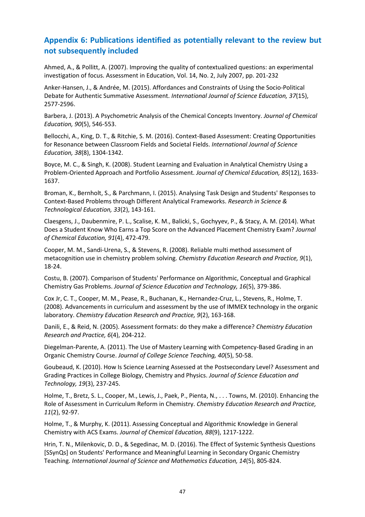# **Appendix 6: Publications identified as potentially relevant to the review but not subsequently included**

Ahmed, A., & Pollitt, A. (2007). Improving the quality of contextualized questions: an experimental investigation of focus. Assessment in Education, Vol. 14, No. 2, July 2007, pp. 201-232

Anker-Hansen, J., & Andrée, M. (2015). Affordances and Constraints of Using the Socio-Political Debate for Authentic Summative Assessment. *International Journal of Science Education, 37*(15), 2577-2596.

Barbera, J. (2013). A Psychometric Analysis of the Chemical Concepts Inventory. *Journal of Chemical Education, 90*(5), 546-553.

Bellocchi, A., King, D. T., & Ritchie, S. M. (2016). Context-Based Assessment: Creating Opportunities for Resonance between Classroom Fields and Societal Fields. *International Journal of Science Education, 38*(8), 1304-1342.

Boyce, M. C., & Singh, K. (2008). Student Learning and Evaluation in Analytical Chemistry Using a Problem-Oriented Approach and Portfolio Assessment. *Journal of Chemical Education, 85*(12), 1633- 1637.

Broman, K., Bernholt, S., & Parchmann, I. (2015). Analysing Task Design and Students' Responses to Context-Based Problems through Different Analytical Frameworks. *Research in Science & Technological Education, 33*(2), 143-161.

Claesgens, J., Daubenmire, P. L., Scalise, K. M., Balicki, S., Gochyyev, P., & Stacy, A. M. (2014). What Does a Student Know Who Earns a Top Score on the Advanced Placement Chemistry Exam? *Journal of Chemical Education, 91*(4), 472-479.

Cooper, M. M., Sandi-Urena, S., & Stevens, R. (2008). Reliable multi method assessment of metacognition use in chemistry problem solving. *Chemistry Education Research and Practice, 9*(1), 18-24.

Costu, B. (2007). Comparison of Students' Performance on Algorithmic, Conceptual and Graphical Chemistry Gas Problems. *Journal of Science Education and Technology, 16*(5), 379-386.

Cox Jr, C. T., Cooper, M. M., Pease, R., Buchanan, K., Hernandez-Cruz, L., Stevens, R., Holme, T. (2008). Advancements in curriculum and assessment by the use of IMMEX technology in the organic laboratory. *Chemistry Education Research and Practice, 9*(2), 163-168.

Danili, E., & Reid, N. (2005). Assessment formats: do they make a difference? *Chemistry Education Research and Practice, 6*(4), 204-212.

Diegelman-Parente, A. (2011). The Use of Mastery Learning with Competency-Based Grading in an Organic Chemistry Course. *Journal of College Science Teaching, 40*(5), 50-58.

Goubeaud, K. (2010). How Is Science Learning Assessed at the Postsecondary Level? Assessment and Grading Practices in College Biology, Chemistry and Physics. *Journal of Science Education and Technology, 19*(3), 237-245.

Holme, T., Bretz, S. L., Cooper, M., Lewis, J., Paek, P., Pienta, N., . . . Towns, M. (2010). Enhancing the Role of Assessment in Curriculum Reform in Chemistry. *Chemistry Education Research and Practice, 11*(2), 92-97.

Holme, T., & Murphy, K. (2011). Assessing Conceptual and Algorithmic Knowledge in General Chemistry with ACS Exams. *Journal of Chemical Education, 88*(9), 1217-1222.

Hrin, T. N., Milenkovic, D. D., & Segedinac, M. D. (2016). The Effect of Systemic Synthesis Questions [SSynQs] on Students' Performance and Meaningful Learning in Secondary Organic Chemistry Teaching. *International Journal of Science and Mathematics Education, 14*(5), 805-824.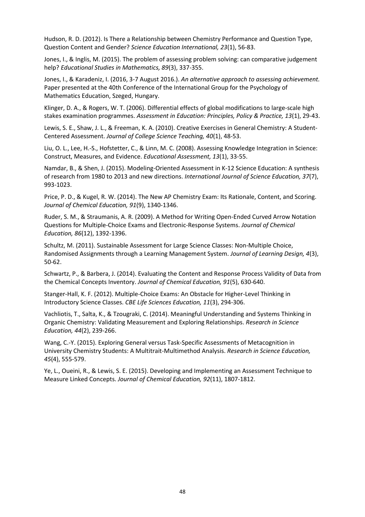Hudson, R. D. (2012). Is There a Relationship between Chemistry Performance and Question Type, Question Content and Gender? *Science Education International, 23*(1), 56-83.

Jones, I., & Inglis, M. (2015). The problem of assessing problem solving: can comparative judgement help? *Educational Studies in Mathematics, 89*(3), 337-355.

Jones, I., & Karadeniz, I. (2016, 3-7 August 2016.). *An alternative approach to assessing achievement.*  Paper presented at the 40th Conference of the International Group for the Psychology of Mathematics Education, Szeged, Hungary.

Klinger, D. A., & Rogers, W. T. (2006). Differential effects of global modifications to large‐scale high stakes examination programmes. *Assessment in Education: Principles, Policy & Practice, 13*(1), 29-43.

Lewis, S. E., Shaw, J. L., & Freeman, K. A. (2010). Creative Exercises in General Chemistry: A Student-Centered Assessment. *Journal of College Science Teaching, 40*(1), 48-53.

Liu, O. L., Lee, H.-S., Hofstetter, C., & Linn, M. C. (2008). Assessing Knowledge Integration in Science: Construct, Measures, and Evidence. *Educational Assessment, 13*(1), 33-55.

Namdar, B., & Shen, J. (2015). Modeling-Oriented Assessment in K-12 Science Education: A synthesis of research from 1980 to 2013 and new directions. *International Journal of Science Education, 37*(7), 993-1023.

Price, P. D., & Kugel, R. W. (2014). The New AP Chemistry Exam: Its Rationale, Content, and Scoring. *Journal of Chemical Education, 91*(9), 1340-1346.

Ruder, S. M., & Straumanis, A. R. (2009). A Method for Writing Open-Ended Curved Arrow Notation Questions for Multiple-Choice Exams and Electronic-Response Systems. *Journal of Chemical Education, 86*(12), 1392-1396.

Schultz, M. (2011). Sustainable Assessment for Large Science Classes: Non-Multiple Choice, Randomised Assignments through a Learning Management System. *Journal of Learning Design, 4*(3), 50-62.

Schwartz, P., & Barbera, J. (2014). Evaluating the Content and Response Process Validity of Data from the Chemical Concepts Inventory. *Journal of Chemical Education, 91*(5), 630-640.

Stanger-Hall, K. F. (2012). Multiple-Choice Exams: An Obstacle for Higher-Level Thinking in Introductory Science Classes. *CBE Life Sciences Education, 11*(3), 294-306.

Vachliotis, T., Salta, K., & Tzougraki, C. (2014). Meaningful Understanding and Systems Thinking in Organic Chemistry: Validating Measurement and Exploring Relationships. *Research in Science Education, 44*(2), 239-266.

Wang, C.-Y. (2015). Exploring General versus Task-Specific Assessments of Metacognition in University Chemistry Students: A Multitrait-Multimethod Analysis. *Research in Science Education, 45*(4), 555-579.

Ye, L., Oueini, R., & Lewis, S. E. (2015). Developing and Implementing an Assessment Technique to Measure Linked Concepts. *Journal of Chemical Education, 92*(11), 1807-1812.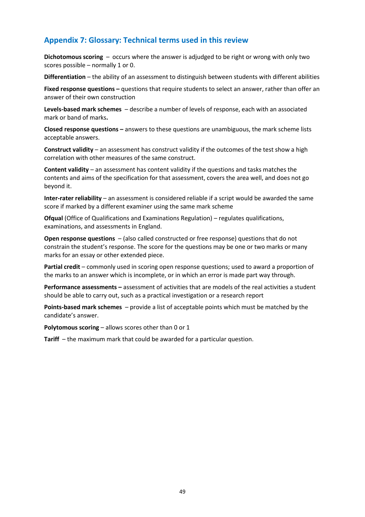# **Appendix 7: Glossary: Technical terms used in this review**

**Dichotomous scoring** – occurs where the answer is adjudged to be right or wrong with only two scores possible – normally 1 or 0.

**Differentiation** – the ability of an assessment to distinguish between students with different abilities

**Fixed response questions –** questions that require students to select an answer, rather than offer an answer of their own construction

**Levels-based mark schemes** – describe a number of levels of response, each with an associated mark or band of marks**.**

**Closed response questions –** answers to these questions are unambiguous, the mark scheme lists acceptable answers.

**Construct validity** – an assessment has construct validity if the outcomes of the test show a high correlation with other measures of the same construct.

**Content validity** – an assessment has content validity if the questions and tasks matches the contents and aims of the specification for that assessment, covers the area well, and does not go beyond it.

**Inter-rater reliability** – an assessment is considered reliable if a script would be awarded the same score if marked by a different examiner using the same mark scheme

**Ofqual** (Office of Qualifications and Examinations Regulation) – regulates qualifications, examinations, and assessments in England.

**Open response questions** – (also called constructed or free response) questions that do not constrain the student's response. The score for the questions may be one or two marks or many marks for an essay or other extended piece.

**Partial credit** – commonly used in scoring open response questions; used to award a proportion of the marks to an answer which is incomplete, or in which an error is made part way through.

**Performance assessments –** assessment of activities that are models of the real activities a student should be able to carry out, such as a practical investigation or a research report

**Points-based mark schemes** – provide a list of acceptable points which must be matched by the candidate's answer.

**Polytomous scoring** – allows scores other than 0 or 1

**Tariff** – the maximum mark that could be awarded for a particular question.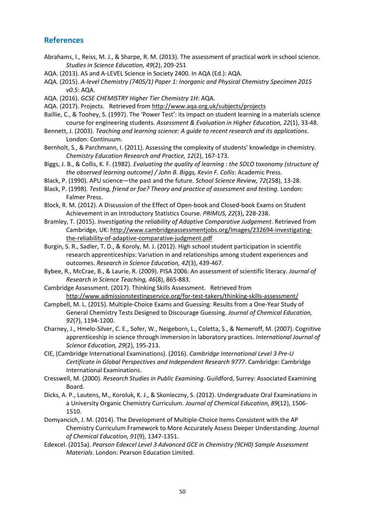# **References**

- Abrahams, I., Reiss, M. J., & Sharpe, R. M. (2013). The assessment of practical work in school science. *Studies in Science Education, 49*(2), 209-251
- AQA. (2013). AS and A-LEVEL Science in Society 2400. In AQA (Ed.): AQA.
- AQA. (2015). *A-level Chemistry (7405/1) Paper 1: Inorganic and Physical Chemistry Specimen 2015 v0.5*: AQA.
- AQA. (2016). *GCSE CHEMISTRY Higher Tier Chemistry 1H*: AQA.
- AQA. (2017). Projects. Retrieved from http://www.aqa.org.uk/subjects/projects
- Baillie, C., & Toohey, S. (1997). The 'Power Test': its impact on student learning in a materials science course for engineering students. *Assessment & Evaluation in Higher Education, 22*(1), 33-48.
- Bennett, J. (2003). *Teaching and learning science: A guide to recent research and its applications*. London: Continuum.
- Bernholt, S., & Parchmann, I. (2011). Assessing the complexity of students' knowledge in chemistry. *Chemistry Education Research and Practice, 12*(2), 167-173.
- Biggs, J. B., & Collis, K. F. (1982). *Evaluating the quality of learning : the SOLO taxonomy (structure of the observed learning outcome) / John B. Biggs, Kevin F. Collis*: Academic Press.
- Black, P. (1990). APU science―the past and the future. *School Science Review, 72*(258), 13-28.
- Black, P. (1998). *Testing, friend or foe? Theory and practice of assessment and testing*. London: Falmer Press.
- Block, R. M. (2012). A Discussion of the Effect of Open-book and Closed-book Exams on Student Achievement in an Introductory Statistics Course. *PRIMUS, 22*(3), 228-238.
- Bramley, T. (2015). *Investigating the reliability of Adaptive Comparative Judgement*. Retrieved from Cambridge, UK: http://www.cambridgeassessmentjobs.org/Images/232694-investigatingthe-reliability-of-adaptive-comparative-judgment.pdf
- Burgin, S. R., Sadler, T. D., & Koroly, M. J. (2012). High school student participation in scientific research apprenticeships: Variation in and relationships among student experiences and outcomes. *Research in Science Education, 42*(3), 439-467.
- Bybee, R., McCrae, B., & Laurie, R. (2009). PISA 2006: An assessment of scientific literacy. *Journal of Research in Science Teaching, 46*(8), 865-883.
- Cambridge Assessment. (2017). Thinking Skills Assessment. Retrieved from http://www.admissionstestingservice.org/for-test-takers/thinking-skills-assessment/
- Campbell, M. L. (2015). Multiple-Choice Exams and Guessing: Results from a One-Year Study of General Chemistry Tests Designed to Discourage Guessing. *Journal of Chemical Education, 92*(7), 1194-1200.
- Charney, J., Hmelo‐Silver, C. E., Sofer, W., Neigeborn, L., Coletta, S., & Nemeroff, M. (2007). Cognitive apprenticeship in science through immersion in laboratory practices. *International Journal of Science Education, 29*(2), 195-213.
- CIE, (Cambridge International Examinations). (2016). *Cambridge International Level 3 Pre-U Certificate in Global Perspectives and Independent Research 9777*. Cambridge: Cambridge International Examinations.
- Cresswell, M. (2000). *Research Studies in Public Examining*. Guildford, Surrey: Associated Examining Board.
- Dicks, A. P., Lautens, M., Koroluk, K. J., & Skonieczny, S. (2012). Undergraduate Oral Examinations in a University Organic Chemistry Curriculum. *Journal of Chemical Education, 89*(12), 1506- 1510.
- Domyancich, J. M. (2014). The Development of Multiple-Choice Items Consistent with the AP Chemistry Curriculum Framework to More Accurately Assess Deeper Understanding. *Journal of Chemical Education, 91*(9), 1347-1351.
- Edexcel. (2015a). *Pearson Edexcel Level 3 Advanced GCE in Chemistry (9CH0) Sample Assessment Materials*. London: Pearson Education Limited.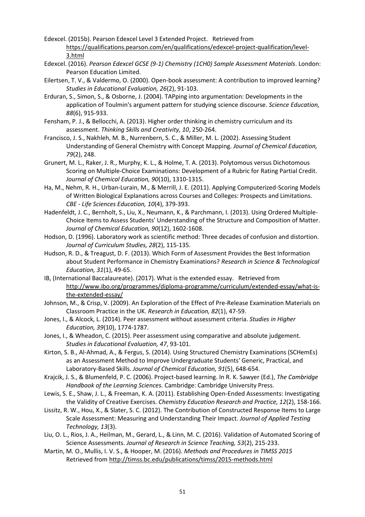- Edexcel. (2015b). Pearson Edexcel Level 3 Extended Project. Retrieved from https://qualifications.pearson.com/en/qualifications/edexcel-project-qualification/level-3.html
- Edexcel. (2016). *Pearson Edexcel GCSE (9-1) Chemistry (1CH0) Sample Assessment Materials*. London: Pearson Education Limited.
- Eilertsen, T. V., & Valdermo, O. (2000). Open-book assessment: A contribution to improved learning? *Studies in Educational Evaluation, 26*(2), 91-103.
- Erduran, S., Simon, S., & Osborne, J. (2004). TAPping into argumentation: Developments in the application of Toulmin's argument pattern for studying science discourse. *Science Education, 88*(6), 915-933.
- Fensham, P. J., & Bellocchi, A. (2013). Higher order thinking in chemistry curriculum and its assessment. *Thinking Skills and Creativity, 10*, 250-264.
- Francisco, J. S., Nakhleh, M. B., Nurrenbern, S. C., & Miller, M. L. (2002). Assessing Student Understanding of General Chemistry with Concept Mapping. *Journal of Chemical Education, 79*(2), 248.
- Grunert, M. L., Raker, J. R., Murphy, K. L., & Holme, T. A. (2013). Polytomous versus Dichotomous Scoring on Multiple-Choice Examinations: Development of a Rubric for Rating Partial Credit. *Journal of Chemical Education, 90*(10), 1310-1315.
- Ha, M., Nehm, R. H., Urban-Lurain, M., & Merrill, J. E. (2011). Applying Computerized-Scoring Models of Written Biological Explanations across Courses and Colleges: Prospects and Limitations. *CBE - Life Sciences Education, 10*(4), 379-393.
- Hadenfeldt, J. C., Bernholt, S., Liu, X., Neumann, K., & Parchmann, I. (2013). Using Ordered Multiple-Choice Items to Assess Students' Understanding of the Structure and Composition of Matter. *Journal of Chemical Education, 90*(12), 1602-1608.
- Hodson, D. (1996). Laboratory work as scientific method: Three decades of confusion and distortion. *Journal of Curriculum Studies, 28*(2), 115-135.
- Hudson, R. D., & Treagust, D. F. (2013). Which Form of Assessment Provides the Best Information about Student Performance in Chemistry Examinations? *Research in Science & Technological Education, 31*(1), 49-65.
- IB, (International Baccalaureate). (2017). What is the extended essay. Retrieved from http://www.ibo.org/programmes/diploma-programme/curriculum/extended-essay/what-isthe-extended-essay/
- Johnson, M., & Crisp, V. (2009). An Exploration of the Effect of Pre-Release Examination Materials on Classroom Practice in the UK. *Research in Education, 82*(1), 47-59.
- Jones, I., & Alcock, L. (2014). Peer assessment without assessment criteria. *Studies in Higher Education, 39*(10), 1774-1787.
- Jones, I., & Wheadon, C. (2015). Peer assessment using comparative and absolute judgement. *Studies in Educational Evaluation, 47*, 93-101.
- Kirton, S. B., Al-Ahmad, A., & Fergus, S. (2014). Using Structured Chemistry Examinations (SCHemEs) as an Assessment Method to Improve Undergraduate Students' Generic, Practical, and Laboratory-Based Skills. *Journal of Chemical Education, 91*(5), 648-654.
- Krajcik, J. S., & Blumenfeld, P. C. (2006). Project-based learning. In R. K. Sawyer (Ed.), *The Cambridge Handbook of the Learning Sciences.* Cambridge: Cambridge University Press.
- Lewis, S. E., Shaw, J. L., & Freeman, K. A. (2011). Establishing Open-Ended Assessments: Investigating the Validity of Creative Exercises. *Chemistry Education Research and Practice, 12*(2), 158-166.
- Lissitz, R. W., Hou, X., & Slater, S. C. (2012). The Contribution of Constructed Response Items to Large Scale Assessment: Measuring and Understanding Their Impact. *Journal of Applied Testing Technology, 13*(3).
- Liu, O. L., Rios, J. A., Heilman, M., Gerard, L., & Linn, M. C. (2016). Validation of Automated Scoring of Science Assessments. *Journal of Research in Science Teaching, 53*(2), 215-233.
- Martin, M. O., Mullis, I. V. S., & Hooper, M. (2016). *Methods and Procedures in TIMSS 2015*  Retrieved from http://timss.bc.edu/publications/timss/2015-methods.html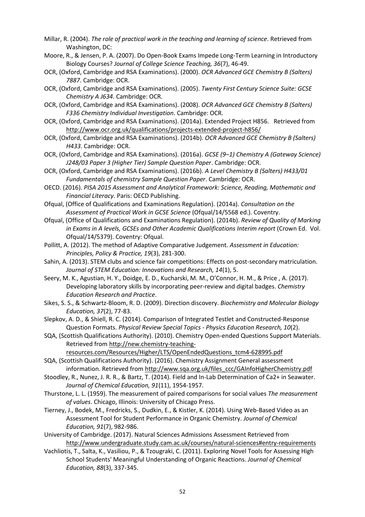- Millar, R. (2004). *The role of practical work in the teaching and learning of science*. Retrieved from Washington, DC:
- Moore, R., & Jensen, P. A. (2007). Do Open-Book Exams Impede Long-Term Learning in Introductory Biology Courses? *Journal of College Science Teaching, 36*(7), 46-49.
- OCR, (Oxford, Cambridge and RSA Examinations). (2000). *OCR Advanced GCE Chemistry B (Salters) 7887*. Cambridge: OCR.
- OCR, (Oxford, Cambridge and RSA Examinations). (2005). *Twenty First Century Science Suite: GCSE Chemistry A J634*. Cambridge: OCR.
- OCR, (Oxford, Cambridge and RSA Examinations). (2008). *OCR Advanced GCE Chemistry B (Salters) F336 Chemistry Individual Investigation*. Cambridge: OCR.
- OCR, (Oxford, Cambridge and RSA Examinations). (2014a). Extended Project H856. Retrieved from http://www.ocr.org.uk/qualifications/projects-extended-project-h856/
- OCR, (Oxford, Cambridge and RSA Examinations). (2014b). *OCR Advanced GCE Chemistry B (Salters) H433*. Cambridge: OCR.
- OCR, (Oxford, Cambridge and RSA Examinations). (2016a). *GCSE (9–1) Chemistry A (Gateway Science) J248/03 Paper 3 (Higher Tier) Sample Question Paper*. Cambridge: OCR.
- OCR, (Oxford, Cambridge and RSA Examinations). (2016b). *A Level Chemistry B (Salters) H433/01 Fundamentals of chemistry Sample Question Paper*. Cambridge: OCR.
- OECD. (2016). *PISA 2015 Assessment and Analytical Framework: Science, Reading, Mathematic and Financial Literacy*. Paris: OECD Publishing.
- Ofqual, (Office of Qualifications and Examinations Regulation). (2014a). *Consultation on the Assessment of Practical Work in GCSE Science* (Ofqual/14/5568 ed.). Coventry.
- Ofqual, (Office of Qualifications and Examinations Regulation). (2014b). *Review of Quality of Marking in Exams in A levels, GCSEs and Other Academic Qualifications Interim report* (Crown Ed. Vol. Ofqual/14/5379). Coventry: Ofqual.
- Pollitt, A. (2012). The method of Adaptive Comparative Judgement. *Assessment in Education: Principles, Policy & Practice, 19*(3), 281-300.
- Sahin, A. (2013). STEM clubs and science fair competitions: Effects on post-secondary matriculation. *Journal of STEM Education: Innovations and Research, 14*(1), 5.
- Seery, M. K., Agustian, H. Y., Doidge, E. D., Kucharski, M. M., O'Connor, H. M., & Price , A. (2017). Developing laboratory skills by incorporating peer-review and digital badges. *Chemistry Education Research and Practice*.
- Sikes, S. S., & Schwartz‐Bloom, R. D. (2009). Direction discovery. *Biochemistry and Molecular Biology Education, 37*(2), 77-83.
- Slepkov, A. D., & Shiell, R. C. (2014). Comparison of Integrated Testlet and Constructed-Response Question Formats. *Physical Review Special Topics - Physics Education Research, 10*(2).
- SQA, (Scottish Qualifications Authority). (2010). Chemistry Open-ended Questions Support Materials. Retrieved from http://new.chemistry-teaching-

resources.com/Resources/Higher/LTS/OpenEndedQuestions\_tcm4-628995.pdf

- SQA, (Scottish Qualifications Authority). (2016). Chemistry Assignment General assessment information. Retrieved from http://www.sqa.org.uk/files\_ccc/GAInfoHigherChemistry.pdf
- Stoodley, R., Nunez, J. R. R., & Bartz, T. (2014). Field and In-Lab Determination of Ca2+ in Seawater. *Journal of Chemical Education, 91*(11), 1954-1957.
- Thurstone, L. L. (1959). The measurement of paired comparisons for social values *The measurement of values*. Chicago, Illinois: University of Chicago Press.
- Tierney, J., Bodek, M., Fredricks, S., Dudkin, E., & Kistler, K. (2014). Using Web-Based Video as an Assessment Tool for Student Performance in Organic Chemistry. *Journal of Chemical Education, 91*(7), 982-986.
- University of Cambridge. (2017). Natural Sciences Admissions Assessment Retrieved from http://www.undergraduate.study.cam.ac.uk/courses/natural-sciences#entry-requirements
- Vachliotis, T., Salta, K., Vasiliou, P., & Tzougraki, C. (2011). Exploring Novel Tools for Assessing High School Students' Meaningful Understanding of Organic Reactions. *Journal of Chemical Education, 88*(3), 337-345.